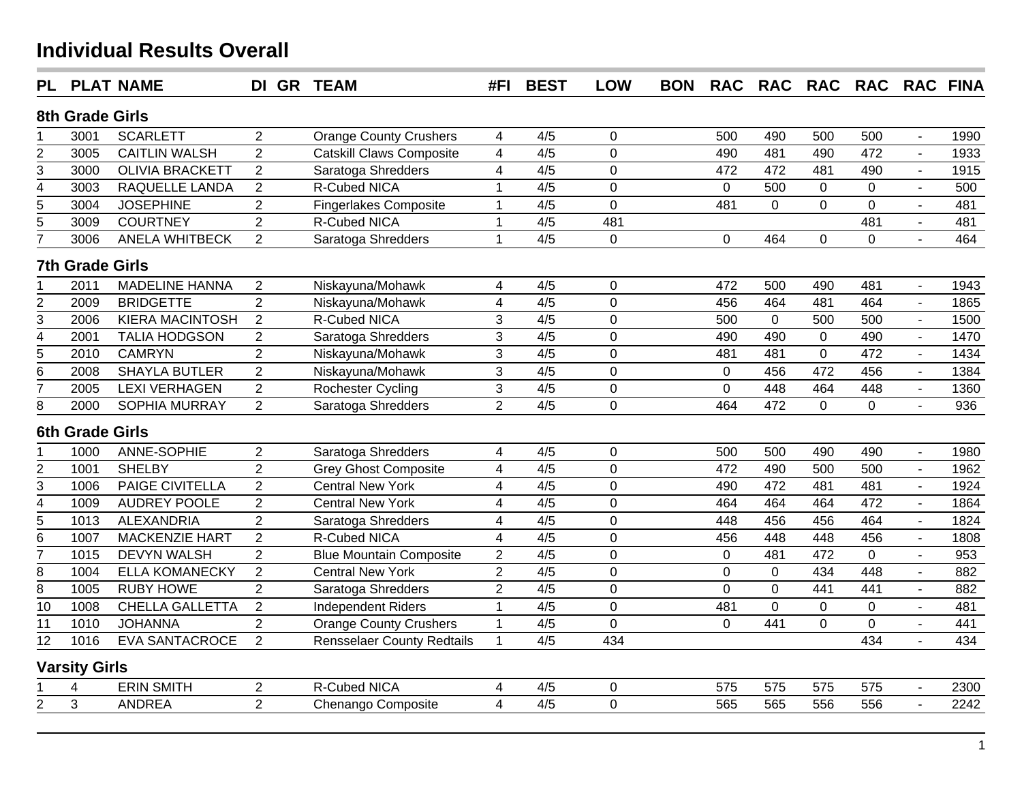| <b>PL</b>                   |                        | <b>PLAT NAME</b>       | DI GR TEAM     |                                   | #FI                     | <b>BEST</b>      | <b>LOW</b>     | <b>BON</b> | <b>RAC</b>  | <b>RAC</b>  | <b>RAC</b>     | RAC RAC FINA   |                |      |
|-----------------------------|------------------------|------------------------|----------------|-----------------------------------|-------------------------|------------------|----------------|------------|-------------|-------------|----------------|----------------|----------------|------|
|                             | 8th Grade Girls        |                        |                |                                   |                         |                  |                |            |             |             |                |                |                |      |
|                             | 3001                   | <b>SCARLETT</b>        | $\overline{2}$ | <b>Orange County Crushers</b>     | 4                       | 4/5              | 0              |            | 500         | 490         | 500            | 500            | $\blacksquare$ | 1990 |
| $\overline{2}$              | 3005                   | <b>CAITLIN WALSH</b>   | $\overline{2}$ | <b>Catskill Claws Composite</b>   | $\overline{4}$          | 4/5              | $\mathbf 0$    |            | 490         | 481         | 490            | 472            | $\blacksquare$ | 1933 |
| 3                           | 3000                   | <b>OLIVIA BRACKETT</b> | $\overline{2}$ | Saratoga Shredders                | $\overline{\mathbf{4}}$ | 4/5              | $\mathbf 0$    |            | 472         | 472         | 481            | 490            | $\blacksquare$ | 1915 |
| 4                           | 3003                   | RAQUELLE LANDA         | $\overline{2}$ | R-Cubed NICA                      | 1                       | 4/5              | $\mathbf 0$    |            | $\mathbf 0$ | 500         | $\mathbf 0$    | 0              | $\blacksquare$ | 500  |
| $\overline{5}$              | 3004                   | <b>JOSEPHINE</b>       | $\overline{2}$ | <b>Fingerlakes Composite</b>      | $\mathbf{1}$            | 4/5              | $\overline{0}$ |            | 481         | $\mathbf 0$ | $\overline{0}$ | $\overline{0}$ |                | 481  |
| $\overline{5}$              | 3009                   | <b>COURTNEY</b>        | $\overline{2}$ | R-Cubed NICA                      | $\mathbf{1}$            | 4/5              | 481            |            |             |             |                | 481            | $\blacksquare$ | 481  |
| 7                           | 3006                   | ANELA WHITBECK         | $\overline{2}$ | Saratoga Shredders                | $\mathbf{1}$            | $\overline{4/5}$ | $\mathbf 0$    |            | $\mathbf 0$ | 464         | $\overline{0}$ | $\mathbf 0$    |                | 464  |
|                             | <b>7th Grade Girls</b> |                        |                |                                   |                         |                  |                |            |             |             |                |                |                |      |
|                             | 2011                   | <b>MADELINE HANNA</b>  | $\overline{2}$ | Niskayuna/Mohawk                  | $\overline{\mathbf{4}}$ | 4/5              | $\mathbf 0$    |            | 472         | 500         | 490            | 481            | $\blacksquare$ | 1943 |
|                             | 2009                   | <b>BRIDGETTE</b>       | $\overline{2}$ | Niskayuna/Mohawk                  | $\overline{\mathbf{4}}$ | 4/5              | $\overline{0}$ |            | 456         | 464         | 481            | 464            | $\mathbf{r}$   | 1865 |
| $\frac{2}{3}$               | 2006                   | <b>KIERA MACINTOSH</b> | $\overline{2}$ | R-Cubed NICA                      | 3                       | 4/5              | $\mathbf 0$    |            | 500         | $\mathbf 0$ | 500            | 500            | $\blacksquare$ | 1500 |
| $\frac{1}{4}$               | 2001                   | <b>TALIA HODGSON</b>   | $\overline{2}$ | Saratoga Shredders                | 3                       | 4/5              | $\overline{0}$ |            | 490         | 490         | $\mathbf 0$    | 490            | $\blacksquare$ | 1470 |
| $\overline{5}$              | 2010                   | <b>CAMRYN</b>          | $\overline{2}$ | Niskayuna/Mohawk                  | $\overline{3}$          | 4/5              | $\overline{0}$ |            | 481         | 481         | $\overline{0}$ | 472            | $\blacksquare$ | 1434 |
| $\overline{6}$              | 2008                   | <b>SHAYLA BUTLER</b>   | $\overline{2}$ | Niskayuna/Mohawk                  | 3                       | 4/5              | $\overline{0}$ |            | $\pmb{0}$   | 456         | 472            | 456            | $\mathbf{r}$   | 1384 |
| $\overline{7}$              | 2005                   | <b>LEXI VERHAGEN</b>   | $\overline{2}$ | <b>Rochester Cycling</b>          | 3                       | 4/5              | $\mathbf 0$    |            | $\mathbf 0$ | 448         | 464            | 448            | $\blacksquare$ | 1360 |
| $\overline{8}$              | 2000                   | <b>SOPHIA MURRAY</b>   | $\overline{2}$ | Saratoga Shredders                | $\overline{2}$          | 4/5              | $\overline{0}$ |            | 464         | 472         | $\overline{0}$ | $\overline{0}$ | $\mathbf{r}$   | 936  |
|                             | <b>6th Grade Girls</b> |                        |                |                                   |                         |                  |                |            |             |             |                |                |                |      |
|                             | 1000                   | ANNE-SOPHIE            | $\overline{2}$ | Saratoga Shredders                | $\overline{4}$          | 4/5              | $\mathbf 0$    |            | 500         | 500         | 490            | 490            | $\sim$         | 1980 |
|                             | 1001                   | <b>SHELBY</b>          | $\overline{2}$ | <b>Grey Ghost Composite</b>       | $\overline{\mathbf{4}}$ | 4/5              | $\mathbf 0$    |            | 472         | 490         | 500            | 500            |                | 1962 |
| $\frac{2}{3}$               | 1006                   | <b>PAIGE CIVITELLA</b> | $\overline{2}$ | <b>Central New York</b>           | $\overline{\mathbf{4}}$ | 4/5              | $\mathbf 0$    |            | 490         | 472         | 481            | 481            | $\overline{a}$ | 1924 |
| $\frac{4}{5}$ $\frac{5}{6}$ | 1009                   | <b>AUDREY POOLE</b>    | $\overline{2}$ | <b>Central New York</b>           | $\overline{\mathbf{4}}$ | 4/5              | $\overline{0}$ |            | 464         | 464         | 464            | 472            | $\overline{a}$ | 1864 |
|                             | 1013                   | <b>ALEXANDRIA</b>      | $\overline{2}$ | Saratoga Shredders                | $\overline{\mathbf{4}}$ | 4/5              | $\mathbf 0$    |            | 448         | 456         | 456            | 464            | $\overline{a}$ | 1824 |
|                             | 1007                   | <b>MACKENZIE HART</b>  | $\overline{2}$ | R-Cubed NICA                      | $\overline{4}$          | 4/5              | $\overline{0}$ |            | 456         | 448         | 448            | 456            |                | 1808 |
| $\overline{7}$              | 1015                   | <b>DEVYN WALSH</b>     | $\overline{2}$ | <b>Blue Mountain Composite</b>    | $\overline{2}$          | 4/5              | $\mathbf 0$    |            | $\mathbf 0$ | 481         | 472            | $\overline{0}$ | $\sim$         | 953  |
| 8                           | 1004                   | <b>ELLA KOMANECKY</b>  | $\overline{2}$ | <b>Central New York</b>           | $\overline{2}$          | 4/5              | $\mathbf 0$    |            | $\mathbf 0$ | $\mathbf 0$ | 434            | 448            | $\overline{a}$ | 882  |
| $\overline{8}$              | 1005                   | <b>RUBY HOWE</b>       | $\overline{2}$ | Saratoga Shredders                | $\overline{2}$          | 4/5              | $\mathbf 0$    |            | $\mathbf 0$ | $\mathbf 0$ | 441            | 441            | $\sim$         | 882  |
| $\overline{10}$             | 1008                   | <b>CHELLA GALLETTA</b> | $\overline{2}$ | <b>Independent Riders</b>         | 1                       | 4/5              | $\mathbf 0$    |            | 481         | $\mathbf 0$ | 0              | $\mathbf 0$    | $\overline{a}$ | 481  |
| $\overline{11}$             | 1010                   | <b>JOHANNA</b>         | $\overline{2}$ | <b>Orange County Crushers</b>     | $\mathbf 1$             | 4/5              | $\overline{0}$ |            | $\pmb{0}$   | 441         | 0              | $\overline{0}$ | $\blacksquare$ | 441  |
| 12                          | 1016                   | <b>EVA SANTACROCE</b>  | $\overline{2}$ | <b>Rensselaer County Redtails</b> | $\mathbf{1}$            | 4/5              | 434            |            |             |             |                | 434            | $\blacksquare$ | 434  |
|                             | <b>Varsity Girls</b>   |                        |                |                                   |                         |                  |                |            |             |             |                |                |                |      |
|                             | 4                      | <b>ERIN SMITH</b>      | $\overline{2}$ | <b>R-Cubed NICA</b>               | 4                       | 4/5              | $\pmb{0}$      |            | 575         | 575         | 575            | 575            |                | 2300 |
| $\overline{2}$              | 3                      | <b>ANDREA</b>          | $\overline{2}$ | Chenango Composite                | 4                       | $\overline{4/5}$ | $\overline{0}$ |            | 565         | 565         | 556            | 556            |                | 2242 |
|                             |                        |                        |                |                                   |                         |                  |                |            |             |             |                |                |                |      |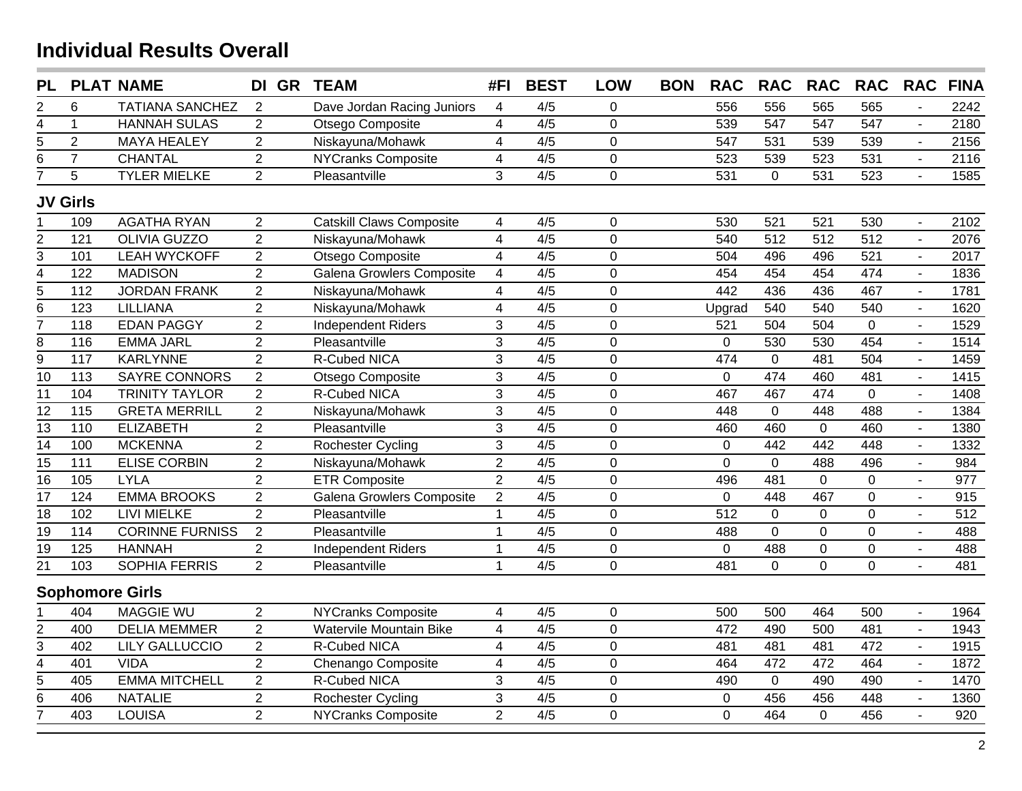| <b>PL</b>               |                   | <b>PLAT NAME</b>       | DI GR TEAM     |                                  | #FI                     | <b>BEST</b>      | <b>LOW</b>     | <b>BON</b> | <b>RAC</b>     | <b>RAC</b>       | <b>RAC</b>       | <b>RAC</b>       | <b>RAC</b>     | <b>FINA</b> |
|-------------------------|-------------------|------------------------|----------------|----------------------------------|-------------------------|------------------|----------------|------------|----------------|------------------|------------------|------------------|----------------|-------------|
| $\overline{\mathbf{c}}$ | 6                 | <b>TATIANA SANCHEZ</b> | 2              | Dave Jordan Racing Juniors       | $\overline{4}$          | 4/5              | 0              |            | 556            | 556              | 565              | 565              |                | 2242        |
| $\overline{4}$          | $\mathbf{1}$      | <b>HANNAH SULAS</b>    | $\overline{2}$ | Otsego Composite                 | $\overline{\mathbf{4}}$ | 4/5              | $\mathbf 0$    |            | 539            | 547              | 547              | 547              | $\sim$         | 2180        |
| $\overline{5}$          | $\overline{2}$    | <b>MAYA HEALEY</b>     | $\overline{2}$ | Niskayuna/Mohawk                 | $\overline{\mathbf{4}}$ | 4/5              | $\mathbf 0$    |            | 547            | 531              | 539              | 539              | $\sim$         | 2156        |
| $\overline{6}$          | $\overline{7}$    | <b>CHANTAL</b>         | $\overline{2}$ | <b>NYCranks Composite</b>        | $\overline{\mathbf{4}}$ | 4/5              | $\mathbf 0$    |            | 523            | 539              | 523              | 531              |                | 2116        |
| 7                       | 5                 | <b>TYLER MIELKE</b>    | $\overline{2}$ | Pleasantville                    | 3                       | 4/5              | $\overline{0}$ |            | 531            | $\mathbf{0}$     | 531              | 523              | $\mathbf{r}$   | 1585        |
|                         | <b>JV Girls</b>   |                        |                |                                  |                         |                  |                |            |                |                  |                  |                  |                |             |
|                         | 109               | <b>AGATHA RYAN</b>     | $\overline{2}$ | <b>Catskill Claws Composite</b>  | 4                       | 4/5              | $\mathbf 0$    |            | 530            | 521              | 521              | 530              |                | 2102        |
| $\frac{2}{3}$           | $\overline{121}$  | <b>OLIVIA GUZZO</b>    | $\overline{2}$ | Niskayuna/Mohawk                 | $\overline{4}$          | 4/5              | $\mathbf 0$    |            | 540            | $\overline{512}$ | $\overline{512}$ | $\overline{512}$ |                | 2076        |
|                         | 101               | <b>LEAH WYCKOFF</b>    | $\overline{c}$ | Otsego Composite                 | $\overline{4}$          | 4/5              | $\mathbf 0$    |            | 504            | 496              | 496              | 521              |                | 2017        |
| $\overline{4}$          | $\overline{122}$  | <b>MADISON</b>         | $\overline{2}$ | <b>Galena Growlers Composite</b> | $\overline{4}$          | 4/5              | $\overline{0}$ |            | 454            | 454              | 454              | 474              |                | 1836        |
| $\overline{5}$          | $112$             | <b>JORDAN FRANK</b>    | $\overline{c}$ | Niskayuna/Mohawk                 | $\overline{4}$          | 4/5              | $\overline{0}$ |            | 442            | 436              | 436              | 467              | $\overline{a}$ | 1781        |
| $\overline{6}$          | $\overline{123}$  | <b>LILLIANA</b>        | $\overline{2}$ | Niskayuna/Mohawk                 | $\overline{\mathbf{4}}$ | 4/5              | $\mathbf 0$    |            | Upgrad         | 540              | 540              | 540              |                | 1620        |
| $\overline{7}$          | 118               | <b>EDAN PAGGY</b>      | $\overline{2}$ | <b>Independent Riders</b>        | 3                       | 4/5              | $\overline{0}$ |            | 521            | 504              | 504              | $\overline{0}$   |                | 1529        |
| $\overline{8}$          | 116               | <b>EMMA JARL</b>       | $\overline{2}$ | Pleasantville                    | 3                       | 4/5              | $\mathbf 0$    |            | $\mathbf 0$    | 530              | 530              | 454              |                | 1514        |
| $\overline{9}$          | 117               | <b>KARLYNNE</b>        | 2              | R-Cubed NICA                     | 3                       | 4/5              | $\mathbf 0$    |            | 474            | $\mathbf 0$      | 481              | 504              |                | 1459        |
| $\overline{10}$         | $\frac{1}{13}$    | <b>SAYRE CONNORS</b>   | $\overline{2}$ | Otsego Composite                 | $\overline{3}$          | 4/5              | $\mathbf 0$    |            | $\mathbf 0$    | 474              | 460              | 481              |                | 1415        |
| $\overline{11}$         | 104               | <b>TRINITY TAYLOR</b>  | $\overline{2}$ | <b>R-Cubed NICA</b>              | $\overline{3}$          | $\overline{4/5}$ | $\mathbf 0$    |            | 467            | 467              | 474              | $\mathbf 0$      |                | 1408        |
| $\overline{12}$         | $\overline{115}$  | <b>GRETA MERRILL</b>   | $\overline{2}$ | Niskayuna/Mohawk                 | 3                       | 4/5              | $\mathbf 0$    |            | 448            | $\overline{0}$   | 448              | 488              | $\mathbf{r}$   | 1384        |
| $\overline{13}$         | 110               | <b>ELIZABETH</b>       | $\overline{2}$ | Pleasantville                    | 3                       | 4/5              | $\mathbf 0$    |            | 460            | 460              | $\mathbf 0$      | 460              | $\overline{a}$ | 1380        |
| $\overline{14}$         | 100               | <b>MCKENNA</b>         | $\overline{2}$ | Rochester Cycling                | $\mathfrak{S}$          | 4/5              | $\mathbf 0$    |            | $\mathbf 0$    | 442              | 442              | 448              | $\mathbf{r}$   | 1332        |
| $\overline{15}$         | 111               | <b>ELISE CORBIN</b>    | $\overline{2}$ | Niskayuna/Mohawk                 | $\overline{2}$          | 4/5              | $\mathbf 0$    |            | $\mathbf 0$    | $\mathbf 0$      | 488              | 496              | $\mathbf{r}$   | 984         |
| $\overline{16}$         | $\frac{105}{105}$ | <b>LYLA</b>            | $\overline{2}$ | <b>ETR Composite</b>             | $\overline{2}$          | 4/5              | $\overline{0}$ |            | 496            | 481              | $\overline{0}$   | $\mathbf{0}$     | $\mathbf{r}$   | 977         |
| $\overline{17}$         | 124               | <b>EMMA BROOKS</b>     | $\overline{2}$ | Galena Growlers Composite        | $\overline{2}$          | 4/5              | $\overline{0}$ |            | $\overline{0}$ | 448              | 467              | $\mathbf{0}$     | $\mathbf{r}$   | 915         |
| $\overline{18}$         | 102               | <b>LIVI MIELKE</b>     | $\overline{2}$ | Pleasantville                    | $\mathbf{1}$            | 4/5              | $\overline{0}$ |            | 512            | $\mathbf{0}$     | $\mathbf 0$      | $\mathbf{0}$     | $\mathbf{r}$   | 512         |
| $\overline{19}$         | 114               | <b>CORINNE FURNISS</b> | $\overline{2}$ | Pleasantville                    | $\mathbf{1}$            | 4/5              | $\overline{0}$ |            | 488            | $\mathbf 0$      | $\mathbf 0$      | $\mathbf{0}$     | $\mathbf{r}$   | 488         |
| $\overline{19}$         | 125               | <b>HANNAH</b>          | $\overline{2}$ | <b>Independent Riders</b>        | $\mathbf{1}$            | 4/5              | $\mathbf 0$    |            | $\mathbf 0$    | 488              | $\overline{0}$   | $\mathbf 0$      | $\blacksquare$ | 488         |
| $\overline{21}$         | 103               | SOPHIA FERRIS          | $\overline{2}$ | Pleasantville                    | $\mathbf{1}$            | 4/5              | $\overline{0}$ |            | 481            | $\mathbf{0}$     | 0                | $\overline{0}$   | $\mathbf{r}$   | 481         |
|                         |                   | <b>Sophomore Girls</b> |                |                                  |                         |                  |                |            |                |                  |                  |                  |                |             |
|                         | 404               | <b>MAGGIE WU</b>       | $\overline{2}$ | <b>NYCranks Composite</b>        | $\overline{\mathbf{4}}$ | 4/5              | $\mathbf 0$    |            | 500            | 500              | 464              | 500              | $\sim$         | 1964        |
| $\overline{2}$          | 400               | <b>DELIA MEMMER</b>    | $\overline{2}$ | Watervile Mountain Bike          | $\overline{\mathbf{4}}$ | 4/5              | $\mathbf 0$    |            | 472            | 490              | 500              | 481              | $\blacksquare$ | 1943        |
| $\overline{3}$          | 402               | <b>LILY GALLUCCIO</b>  | $\overline{2}$ | R-Cubed NICA                     | $\overline{\mathbf{4}}$ | 4/5              | $\mathbf 0$    |            | 481            | 481              | 481              | 472              | $\overline{a}$ | 1915        |
| $\overline{4}$          | 401               | <b>VIDA</b>            | $\overline{2}$ | Chenango Composite               | $\overline{\mathbf{4}}$ | 4/5              | $\overline{0}$ |            | 464            | 472              | 472              | 464              | $\mathbf{r}$   | 1872        |
| $\overline{5}$          | 405               | <b>EMMA MITCHELL</b>   | $\sqrt{2}$     | R-Cubed NICA                     | 3                       | 4/5              | $\mathbf 0$    |            | 490            | $\mathbf 0$      | 490              | 490              | $\mathbf{r}$   | 1470        |
| $\overline{6}$          | 406               | <b>NATALIE</b>         | $\overline{2}$ | Rochester Cycling                | 3                       | 4/5              | $\mathbf 0$    |            | $\mathbf 0$    | 456              | 456              | 448              | $\mathbf{r}$   | 1360        |
| 7                       | 403               | <b>LOUISA</b>          | $\overline{2}$ | <b>NYCranks Composite</b>        | $\overline{2}$          | 4/5              | $\overline{0}$ |            | $\overline{0}$ | 464              | 0                | 456              | $\mathbf{r}$   | 920         |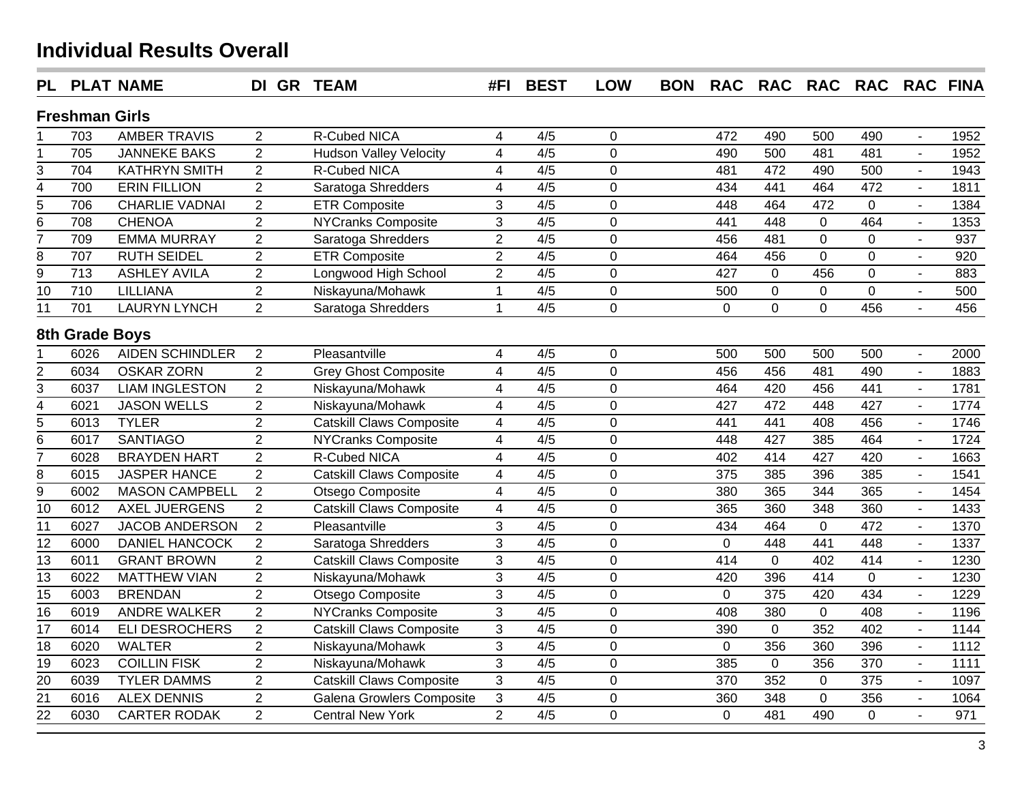| <b>PL</b>       |                       | <b>PLAT NAME</b>       | DI GR TEAM     |                                  | #FI                      | <b>BEST</b>      | <b>LOW</b>     | <b>BON</b> | <b>RAC</b>     | RAC RAC RAC RAC FINA |                  |              |                |      |
|-----------------|-----------------------|------------------------|----------------|----------------------------------|--------------------------|------------------|----------------|------------|----------------|----------------------|------------------|--------------|----------------|------|
|                 | <b>Freshman Girls</b> |                        |                |                                  |                          |                  |                |            |                |                      |                  |              |                |      |
|                 | 703                   | <b>AMBER TRAVIS</b>    | $\overline{2}$ | R-Cubed NICA                     | $\overline{\mathcal{A}}$ | 4/5              | $\mathbf 0$    |            | 472            | 490                  | 500              | 490          |                | 1952 |
| 1               | 705                   | <b>JANNEKE BAKS</b>    | $\overline{2}$ | <b>Hudson Valley Velocity</b>    | $\overline{\mathbf{4}}$  | 4/5              | $\mathbf 0$    |            | 490            | 500                  | 481              | 481          |                | 1952 |
| 3               | 704                   | <b>KATHRYN SMITH</b>   | 2              | R-Cubed NICA                     | $\overline{\mathbf{4}}$  | 4/5              | $\overline{0}$ |            | 481            | 472                  | 490              | 500          |                | 1943 |
| $\frac{4}{5}$   | 700                   | <b>ERIN FILLION</b>    | $\overline{2}$ | Saratoga Shredders               | $\overline{\mathbf{4}}$  | 4/5              | $\overline{0}$ |            | 434            | 441                  | 464              | 472          |                | 1811 |
|                 | 706                   | <b>CHARLIE VADNAI</b>  | $\overline{2}$ | <b>ETR Composite</b>             | 3                        | 4/5              | $\overline{0}$ |            | 448            | 464                  | 472              | $\mathbf{0}$ |                | 1384 |
| $\overline{6}$  | 708                   | <b>CHENOA</b>          | $\overline{2}$ | <b>NYCranks Composite</b>        | $\overline{3}$           | 4/5              | $\mathbf 0$    |            | 441            | 448                  | $\pmb{0}$        | 464          |                | 1353 |
| $\overline{7}$  | 709                   | <b>EMMA MURRAY</b>     | $\overline{2}$ | Saratoga Shredders               | $\overline{c}$           | 4/5              | $\overline{0}$ |            | 456            | 481                  | $\pmb{0}$        | $\mathbf 0$  |                | 937  |
| 8               | 707                   | <b>RUTH SEIDEL</b>     | $\overline{2}$ | <b>ETR Composite</b>             | $\boldsymbol{2}$         | 4/5              | $\overline{0}$ |            | 464            | 456                  | $\pmb{0}$        | $\mathbf 0$  |                | 920  |
| $\overline{9}$  | $\overline{713}$      | <b>ASHLEY AVILA</b>    | $\overline{2}$ | Longwood High School             | $\boldsymbol{2}$         | 4/5              | $\overline{0}$ |            | 427            | 0                    | 456              | $\mathbf 0$  |                | 883  |
| 10              | 710                   | <b>LILLIANA</b>        | $\overline{2}$ | Niskayuna/Mohawk                 | $\mathbf{1}$             | 4/5              | $\pmb{0}$      |            | 500            | 0                    | $\pmb{0}$        | $\mathbf{0}$ | $\overline{a}$ | 500  |
| $\overline{11}$ | 701                   | <b>LAURYN LYNCH</b>    | $\overline{2}$ | Saratoga Shredders               | $\mathbf{1}$             | 4/5              | $\overline{0}$ |            | $\overline{0}$ | $\overline{0}$       | $\overline{0}$   | 456          |                | 456  |
|                 | 8th Grade Boys        |                        |                |                                  |                          |                  |                |            |                |                      |                  |              |                |      |
|                 | 6026                  | <b>AIDEN SCHINDLER</b> | 2              | Pleasantville                    | 4                        | 4/5              | $\mathbf 0$    |            | 500            | 500                  | 500              | 500          |                | 2000 |
| $rac{2}{3}$     | 6034                  | <b>OSKAR ZORN</b>      | $\overline{2}$ | <b>Grey Ghost Composite</b>      | $\overline{\mathbf{4}}$  | 4/5              | $\mathbf 0$    |            | 456            | 456                  | 481              | 490          |                | 1883 |
|                 | 6037                  | <b>LIAM INGLESTON</b>  | $\overline{2}$ | Niskayuna/Mohawk                 | 4                        | 4/5              | $\overline{0}$ |            | 464            | 420                  | 456              | 441          |                | 1781 |
| $\overline{4}$  | 6021                  | <b>JASON WELLS</b>     | $\overline{2}$ | Niskayuna/Mohawk                 | 4                        | 4/5              | $\mathbf 0$    |            | 427            | 472                  | 448              | 427          |                | 1774 |
| $\overline{5}$  | 6013                  | <b>TYLER</b>           | $\overline{2}$ | <b>Catskill Claws Composite</b>  | 4                        | 4/5              | $\overline{0}$ |            | 441            | 441                  | 408              | 456          | $\blacksquare$ | 1746 |
| $\overline{6}$  | 6017                  | <b>SANTIAGO</b>        | $\overline{2}$ | <b>NYCranks Composite</b>        | 4                        | 4/5              | $\mathbf 0$    |            | 448            | 427                  | 385              | 464          |                | 1724 |
| 7               | 6028                  | <b>BRAYDEN HART</b>    | $\overline{2}$ | <b>R-Cubed NICA</b>              | 4                        | 4/5              | $\mathbf 0$    |            | 402            | 414                  | 427              | 420          |                | 1663 |
| $\overline{8}$  | 6015                  | <b>JASPER HANCE</b>    | $\overline{2}$ | Catskill Claws Composite         | $\overline{\mathbf{4}}$  | 4/5              | $\overline{0}$ |            | 375            | 385                  | 396              | 385          |                | 1541 |
| $\overline{9}$  | 6002                  | <b>MASON CAMPBELL</b>  | $\overline{2}$ | Otsego Composite                 | 4                        | 4/5              | $\overline{0}$ |            | 380            | 365                  | 344              | 365          |                | 1454 |
| $\overline{10}$ | 6012                  | <b>AXEL JUERGENS</b>   | $\overline{2}$ | <b>Catskill Claws Composite</b>  | $\overline{\mathbf{4}}$  | $\overline{4/5}$ | 0              |            | 365            | 360                  | 348              | 360          |                | 1433 |
| $\overline{11}$ | 6027                  | <b>JACOB ANDERSON</b>  | $\overline{2}$ | Pleasantville                    | $\overline{3}$           | 4/5              | $\overline{0}$ |            | 434            | 464                  | $\overline{0}$   | 472          | ÷.             | 1370 |
| $\overline{12}$ | 6000                  | <b>DANIEL HANCOCK</b>  | 2              | Saratoga Shredders               | 3                        | 4/5              | $\mathbf 0$    |            | $\mathbf 0$    | 448                  | 441              | 448          |                | 1337 |
| $\overline{13}$ | 6011                  | <b>GRANT BROWN</b>     | $\overline{2}$ | <b>Catskill Claws Composite</b>  | 3                        | 4/5              | $\mathbf 0$    |            | 414            | 0                    | 402              | 414          | ÷,             | 1230 |
| $\overline{13}$ | 6022                  | <b>MATTHEW VIAN</b>    | $\overline{2}$ | Niskayuna/Mohawk                 | $\overline{3}$           | 4/5              | $\mathbf 0$    |            | 420            | 396                  | 414              | $\mathbf{0}$ | $\blacksquare$ | 1230 |
| $\overline{15}$ | 6003                  | <b>BRENDAN</b>         | $\overline{2}$ | Otsego Composite                 | 3                        | 4/5              | $\mathbf 0$    |            | $\overline{0}$ | $\frac{1}{375}$      | 420              | 434          | $\overline{a}$ | 1229 |
| 16              | 6019                  | <b>ANDRE WALKER</b>    | $\overline{2}$ | <b>NYCranks Composite</b>        | 3                        | 4/5              | $\mathbf 0$    |            | 408            | 380                  | $\mathbf 0$      | 408          | ÷,             | 1196 |
| $\overline{17}$ | 6014                  | <b>ELI DESROCHERS</b>  | $\overline{2}$ | Catskill Claws Composite         | 3                        | $\overline{4/5}$ | $\overline{0}$ |            | 390            | 0                    | 352              | 402          | ÷.             | 1144 |
| $\overline{18}$ | 6020                  | <b>WALTER</b>          | $\overline{2}$ | Niskayuna/Mohawk                 | $\overline{3}$           | 4/5              | $\mathbf 0$    |            | $\mathbf 0$    | 356                  | 360              | 396          | ÷.             | 1112 |
| $\overline{19}$ | 6023                  | <b>COILLIN FISK</b>    | $\overline{2}$ | Niskayuna/Mohawk                 | $\overline{3}$           | $\overline{4/5}$ | $\mathbf 0$    |            | 385            | 0                    | 356              | 370          | $\mathbf{r}$   | 1111 |
| $\overline{20}$ | 6039                  | <b>TYLER DAMMS</b>     | $\overline{2}$ | <b>Catskill Claws Composite</b>  | 3                        | 4/5              | $\mathbf 0$    |            | 370            | 352                  | $\boldsymbol{0}$ | 375          | $\overline{a}$ | 1097 |
| $\overline{21}$ | 6016                  | <b>ALEX DENNIS</b>     | $\overline{2}$ | <b>Galena Growlers Composite</b> | 3                        | 4/5              | 0              |            | 360            | 348                  | $\pmb{0}$        | 356          | $\overline{a}$ | 1064 |
| $\overline{22}$ | 6030                  | <b>CARTER RODAK</b>    | $\overline{2}$ | <b>Central New York</b>          | $\overline{2}$           | 4/5              | 0              |            | $\mathbf 0$    | 481                  | 490              | $\mathbf 0$  | $\overline{a}$ | 971  |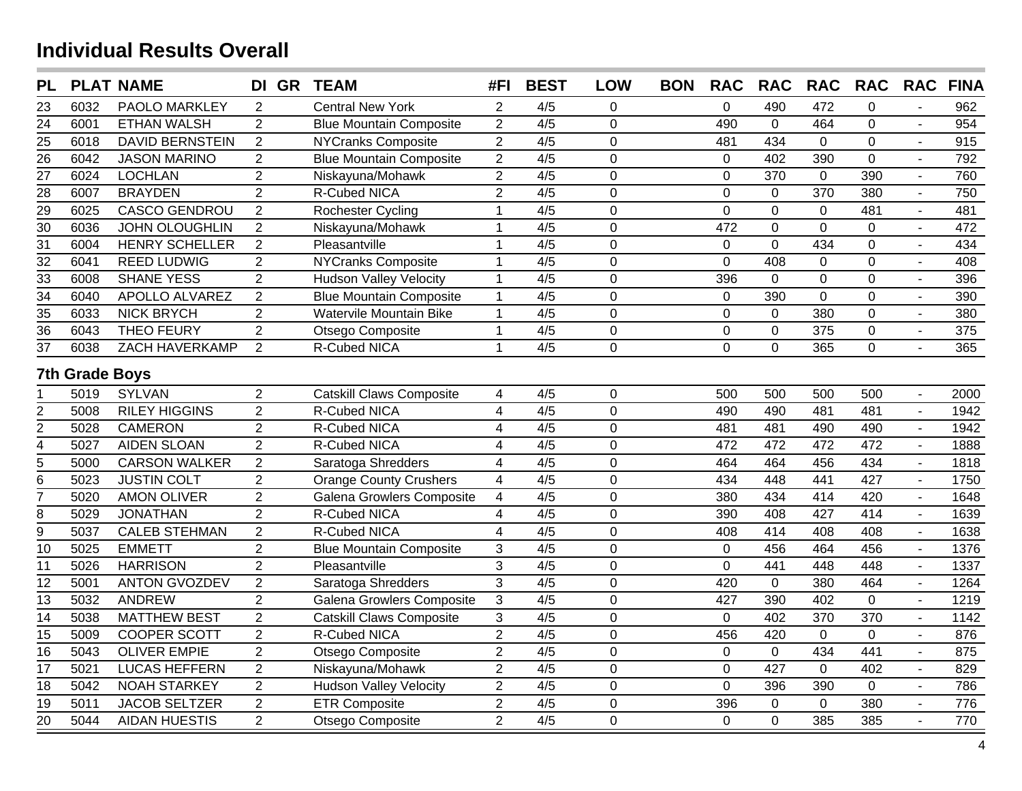| <b>PL</b>       |                       | <b>PLAT NAME</b>       | DI GR          | <b>TEAM</b>                     | #FI                      | <b>BEST</b>      | <b>LOW</b>     | <b>BON</b> | <b>RAC</b>     | <b>RAC</b>     | <b>RAC</b>       | <b>RAC</b>     | <b>RAC</b>               | <b>FINA</b> |
|-----------------|-----------------------|------------------------|----------------|---------------------------------|--------------------------|------------------|----------------|------------|----------------|----------------|------------------|----------------|--------------------------|-------------|
| 23              | 6032                  | PAOLO MARKLEY          | 2              | <b>Central New York</b>         | 2                        | 4/5              | 0              |            | $\mathbf 0$    | 490            | 472              | $\Omega$       |                          | 962         |
| 24              | 6001                  | <b>ETHAN WALSH</b>     | $\overline{2}$ | <b>Blue Mountain Composite</b>  | $\overline{2}$           | $\overline{4/5}$ | $\Omega$       |            | 490            | $\mathbf 0$    | 464              | $\Omega$       |                          | 954         |
| 25              | 6018                  | <b>DAVID BERNSTEIN</b> | $\overline{2}$ | <b>NYCranks Composite</b>       | $\overline{2}$           | 4/5              | $\mathbf 0$    |            | 481            | 434            | $\mathbf 0$      | $\mathbf 0$    |                          | 915         |
| $\overline{26}$ | 6042                  | <b>JASON MARINO</b>    | $\overline{2}$ | <b>Blue Mountain Composite</b>  | $\overline{2}$           | $\overline{4/5}$ | $\overline{0}$ |            | $\mathbf 0$    | 402            | 390              | $\overline{0}$ | L.                       | 792         |
| $\overline{27}$ | 6024                  | <b>LOCHLAN</b>         | $\overline{2}$ | Niskayuna/Mohawk                | $\overline{2}$           | 4/5              | $\overline{0}$ |            | $\mathbf 0$    | 370            | $\mathbf 0$      | 390            | $\blacksquare$           | 760         |
| $\overline{28}$ | 6007                  | <b>BRAYDEN</b>         | $\overline{2}$ | R-Cubed NICA                    | $\overline{2}$           | 4/5              | $\mathbf 0$    |            | $\mathbf 0$    | 0              | $\overline{370}$ | 380            | $\blacksquare$           | 750         |
| $\frac{29}{30}$ | 6025                  | <b>CASCO GENDROU</b>   | $\overline{2}$ | <b>Rochester Cycling</b>        | $\mathbf 1$              | 4/5              | $\mathbf 0$    |            | $\overline{0}$ | $\overline{0}$ | $\mathbf{0}$     | 481            | $\mathbf{r}$             | 481         |
|                 | 6036                  | <b>JOHN OLOUGHLIN</b>  | $\overline{2}$ | Niskayuna/Mohawk                | $\mathbf{1}$             | 4/5              | $\mathbf 0$    |            | 472            | 0              | $\mathbf 0$      | $\overline{0}$ | $\blacksquare$           | 472         |
| $\overline{31}$ | 6004                  | <b>HENRY SCHELLER</b>  | $\overline{2}$ | Pleasantville                   | $\mathbf{1}$             | 4/5              | $\overline{0}$ |            | $\mathbf 0$    | $\overline{0}$ | 434              | $\overline{0}$ | $\blacksquare$           | 434         |
| $\overline{32}$ | 6041                  | <b>REED LUDWIG</b>     | $\overline{2}$ | <b>NYCranks Composite</b>       | $\mathbf{1}$             | 4/5              | $\overline{0}$ |            | $\mathbf 0$    | 408            | $\mathbf 0$      | $\overline{0}$ | $\overline{\phantom{a}}$ | 408         |
| $\overline{33}$ | 6008                  | <b>SHANE YESS</b>      | $\overline{2}$ | <b>Hudson Valley Velocity</b>   | $\mathbf{1}$             | 4/5              | $\mathbf 0$    |            | 396            | $\mathbf 0$    | $\mathbf 0$      | $\overline{0}$ | $\overline{\phantom{a}}$ | 396         |
| $\overline{34}$ | 6040                  | APOLLO ALVAREZ         | $\overline{2}$ | <b>Blue Mountain Composite</b>  | $\mathbf{1}$             | 4/5              | $\mathbf 0$    |            | $\mathbf 0$    | 390            | $\mathbf 0$      | $\mathbf 0$    |                          | 390         |
| $\frac{35}{36}$ | 6033                  | <b>NICK BRYCH</b>      | $\overline{2}$ | Watervile Mountain Bike         | $\mathbf{1}$             | 4/5              | $\mathbf 0$    |            | $\pmb{0}$      | $\mathbf 0$    | 380              | $\mathbf 0$    |                          | 380         |
|                 | 6043                  | <b>THEO FEURY</b>      | $\overline{2}$ | Otsego Composite                | $\mathbf{1}$             | 4/5              | $\mathbf 0$    |            | $\pmb{0}$      | 0              | $\frac{1}{375}$  | $\mathbf 0$    | $\blacksquare$           | 375         |
| $\overline{37}$ | 6038                  | ZACH HAVERKAMP         | 2              | R-Cubed NICA                    | $\mathbf{1}$             | 4/5              | $\overline{0}$ |            | $\overline{0}$ | $\overline{0}$ | 365              | $\overline{0}$ |                          | 365         |
|                 | <b>7th Grade Boys</b> |                        |                |                                 |                          |                  |                |            |                |                |                  |                |                          |             |
| 1               | 5019                  | <b>SYLVAN</b>          | $\overline{2}$ | <b>Catskill Claws Composite</b> | $\overline{4}$           | 4/5              | $\mathbf 0$    |            | 500            | 500            | 500              | 500            | $\overline{\phantom{a}}$ | 2000        |
| $\overline{c}$  | 5008                  | <b>RILEY HIGGINS</b>   | $\overline{2}$ | R-Cubed NICA                    | $\overline{\mathcal{A}}$ | 4/5              | $\mathbf 0$    |            | 490            | 490            | 481              | 481            | $\overline{\phantom{a}}$ | 1942        |
| $\overline{2}$  | 5028                  | <b>CAMERON</b>         | $\overline{2}$ | R-Cubed NICA                    | $\overline{\mathbf{4}}$  | 4/5              | $\mathbf 0$    |            | 481            | 481            | 490              | 490            |                          | 1942        |
| $\overline{4}$  | 5027                  | <b>AIDEN SLOAN</b>     | $\overline{2}$ | <b>R-Cubed NICA</b>             | $\overline{\mathbf{4}}$  | $\overline{4/5}$ | $\mathbf 0$    |            | 472            | 472            | 472              | 472            |                          | 1888        |
| $\mathbf 5$     | 5000                  | <b>CARSON WALKER</b>   | $\overline{2}$ | Saratoga Shredders              | $\overline{\mathcal{A}}$ | 4/5              | $\mathbf 0$    |            | 464            | 464            | 456              | 434            |                          | 1818        |
| 6               | 5023                  | <b>JUSTIN COLT</b>     | $\overline{2}$ | <b>Orange County Crushers</b>   | $\overline{\mathbf{4}}$  | 4/5              | $\mathbf 0$    |            | 434            | 448            | 441              | 427            |                          | 1750        |
| 7               | 5020                  | <b>AMON OLIVER</b>     | $\overline{2}$ | Galena Growlers Composite       | $\overline{\mathbf{4}}$  | 4/5              | $\mathbf 0$    |            | 380            | 434            | 414              | 420            |                          | 1648        |
| $\overline{8}$  | 5029                  | <b>JONATHAN</b>        | $\overline{2}$ | R-Cubed NICA                    | $\overline{\mathbf{4}}$  | 4/5              | $\mathbf 0$    |            | 390            | 408            | 427              | 414            | $\overline{a}$           | 1639        |
| $\overline{9}$  | 5037                  | <b>CALEB STEHMAN</b>   | $\overline{2}$ | R-Cubed NICA                    | $\overline{4}$           | 4/5              | $\mathbf 0$    |            | 408            | 414            | 408              | 408            |                          | 1638        |
| $\overline{10}$ | 5025                  | <b>EMMETT</b>          | $\overline{2}$ | <b>Blue Mountain Composite</b>  | 3                        | 4/5              | $\overline{0}$ |            | $\mathbf 0$    | 456            | 464              | 456            |                          | 1376        |
| $\overline{11}$ | 5026                  | <b>HARRISON</b>        | $\overline{2}$ | Pleasantville                   | $\overline{3}$           | $\overline{4/5}$ | $\overline{0}$ |            | $\mathbf 0$    | 441            | 448              | 448            |                          | 1337        |
| $\overline{12}$ | 5001                  | <b>ANTON GVOZDEV</b>   | $\overline{2}$ | Saratoga Shredders              | $\overline{3}$           | $\overline{4/5}$ | $\overline{0}$ |            | 420            | $\overline{0}$ | 380              | 464            | $\overline{a}$           | 1264        |
| 13              | 5032                  | <b>ANDREW</b>          | $\overline{2}$ | Galena Growlers Composite       | 3                        | 4/5              | $\mathbf 0$    |            | 427            | 390            | 402              | $\mathbf{0}$   |                          | 1219        |
| 14              | 5038                  | <b>MATTHEW BEST</b>    | $\overline{2}$ | <b>Catskill Claws Composite</b> | 3                        | 4/5              | $\overline{0}$ |            | $\pmb{0}$      | 402            | 370              | 370            |                          | 1142        |
| 15              | 5009                  | <b>COOPER SCOTT</b>    | $\overline{2}$ | R-Cubed NICA                    | $\overline{2}$           | 4/5              | $\mathbf 0$    |            | 456            | 420            | $\mathbf 0$      | $\overline{0}$ |                          | 876         |
| $\overline{16}$ | 5043                  | <b>OLIVER EMPIE</b>    | $\overline{2}$ | Otsego Composite                | $\overline{2}$           | $\overline{4/5}$ | $\mathbf 0$    |            | $\mathbf 0$    | $\mathbf 0$    | 434              | 441            | $\overline{a}$           | 875         |
| $\overline{17}$ | 5021                  | <b>LUCAS HEFFERN</b>   | $\overline{2}$ | Niskayuna/Mohawk                | $\overline{2}$           | 4/5              | $\overline{0}$ |            | $\mathbf 0$    | 427            | $\mathbf 0$      | 402            | $\overline{a}$           | 829         |
| $\overline{18}$ | 5042                  | <b>NOAH STARKEY</b>    | $\overline{2}$ | <b>Hudson Valley Velocity</b>   | $\overline{2}$           | 4/5              | $\mathbf 0$    |            | $\overline{0}$ | 396            | 390              | $\overline{0}$ | $\mathbf{L}$             | 786         |
| $\overline{19}$ | 5011                  | <b>JACOB SELTZER</b>   | $\overline{2}$ | <b>ETR Composite</b>            | $\boldsymbol{2}$         | 4/5              | $\mathbf 0$    |            | 396            | 0              | $\pmb{0}$        | 380            | $\sim$                   | 776         |
| $\overline{20}$ | 5044                  | <b>AIDAN HUESTIS</b>   | $\overline{2}$ | Otsego Composite                | $\overline{2}$           | 4/5              | $\mathbf 0$    |            | $\mathbf 0$    | $\overline{0}$ | 385              | 385            | $\overline{a}$           | 770         |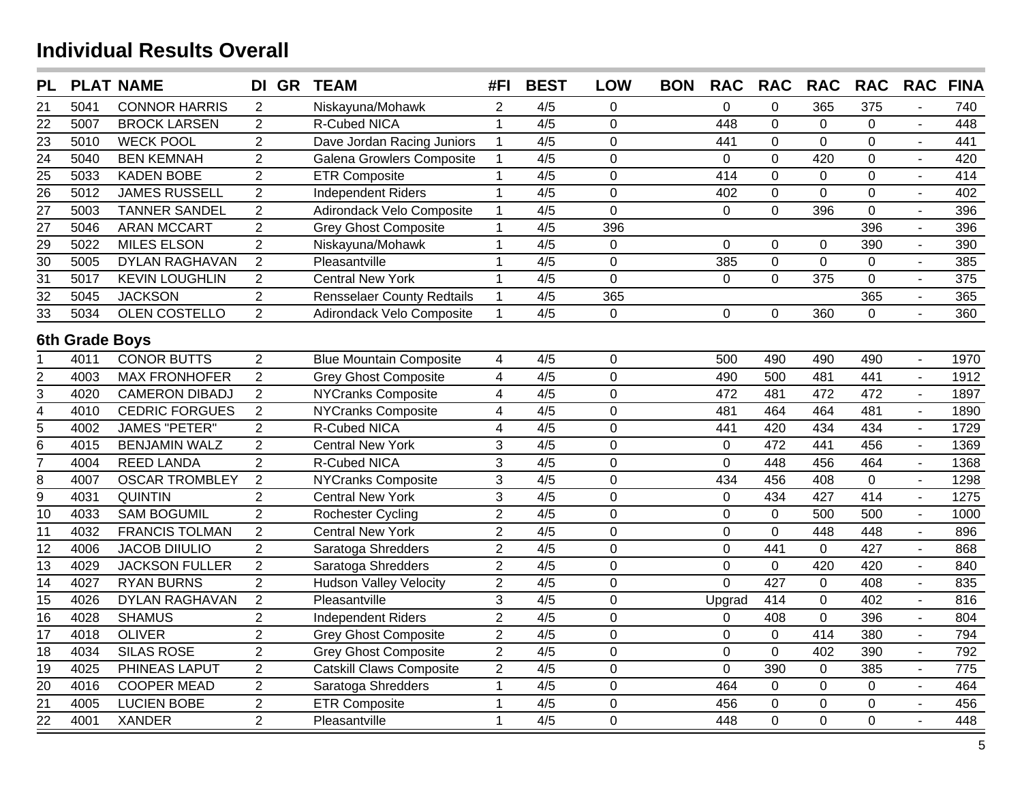| <b>PL</b>       |                | <b>PLAT NAME</b>      | DI GR          | <b>TEAM</b>                       | #FI                     | <b>BEST</b>      | <b>LOW</b>     | <b>BON</b> | <b>RAC</b>     | <b>RAC</b>     | <b>RAC</b>      | <b>RAC</b>     | <b>RAC</b>     | <b>FINA</b> |
|-----------------|----------------|-----------------------|----------------|-----------------------------------|-------------------------|------------------|----------------|------------|----------------|----------------|-----------------|----------------|----------------|-------------|
| 21              | 5041           | <b>CONNOR HARRIS</b>  | 2              | Niskayuna/Mohawk                  | 2                       | 4/5              | $\mathbf 0$    |            | 0              | 0              | 365             | 375            |                | 740         |
| 22              | 5007           | <b>BROCK LARSEN</b>   | $\overline{2}$ | <b>R-Cubed NICA</b>               | $\mathbf{1}$            | $\overline{4/5}$ | $\mathbf 0$    |            | 448            | 0              | $\mathbf{0}$    | $\overline{0}$ |                | 448         |
| $\overline{23}$ | 5010           | <b>WECK POOL</b>      | $\overline{2}$ | Dave Jordan Racing Juniors        | $\mathbf{1}$            | 4/5              | $\mathbf 0$    |            | 441            | 0              | $\mathbf 0$     | $\overline{0}$ |                | 441         |
| $\overline{24}$ | 5040           | <b>BEN KEMNAH</b>     | $\overline{2}$ | Galena Growlers Composite         | $\mathbf{1}$            | $\overline{4/5}$ | $\mathbf 0$    |            | $\mathbf 0$    | $\overline{0}$ | 420             | $\overline{0}$ |                | 420         |
| $\frac{25}{26}$ | 5033           | <b>KADEN BOBE</b>     | $\overline{2}$ | <b>ETR Composite</b>              | $\mathbf{1}$            | 4/5              | $\overline{0}$ |            | 414            | $\overline{0}$ | $\mathbf 0$     | $\overline{0}$ |                | 414         |
|                 | 5012           | <b>JAMES RUSSELL</b>  | $\overline{2}$ | <b>Independent Riders</b>         | $\mathbf{1}$            | 4/5              | $\mathbf 0$    |            | 402            | $\overline{0}$ | $\mathbf{0}$    | $\overline{0}$ | $\blacksquare$ | 402         |
| $\overline{27}$ | 5003           | <b>TANNER SANDEL</b>  | $\overline{2}$ | Adirondack Velo Composite         | $\mathbf{1}$            | 4/5              | $\overline{0}$ |            | $\mathbf 0$    | $\overline{0}$ | 396             | $\overline{0}$ | $\blacksquare$ | 396         |
| $\overline{27}$ | 5046           | <b>ARAN MCCART</b>    | $\overline{2}$ | <b>Grey Ghost Composite</b>       | $\mathbf{1}$            | 4/5              | 396            |            |                |                |                 | 396            | $\sim$         | 396         |
| $\overline{29}$ | 5022           | <b>MILES ELSON</b>    | $\overline{2}$ | Niskayuna/Mohawk                  | $\mathbf{1}$            | 4/5              | $\overline{0}$ |            | $\overline{0}$ | 0              | 0               | 390            | $\sim$         | 390         |
| $\overline{30}$ | 5005           | <b>DYLAN RAGHAVAN</b> | $\overline{2}$ | Pleasantville                     | $\mathbf{1}$            | 4/5              | $\overline{0}$ |            | 385            | 0              | $\mathbf{0}$    | $\mathbf 0$    | $\sim$         | 385         |
| $\overline{31}$ | 5017           | <b>KEVIN LOUGHLIN</b> | $\overline{2}$ | <b>Central New York</b>           | $\mathbf{1}$            | 4/5              | $\overline{0}$ |            | $\mathbf 0$    | $\overline{0}$ | $\frac{1}{375}$ | $\overline{0}$ | $\blacksquare$ | 375         |
| $\overline{32}$ | 5045           | <b>JACKSON</b>        | 2              | <b>Rensselaer County Redtails</b> | $\mathbf{1}$            | 4/5              | 365            |            |                |                |                 | 365            | $\blacksquare$ | 365         |
| $\overline{33}$ | 5034           | OLEN COSTELLO         | $\overline{2}$ | Adirondack Velo Composite         | $\mathbf{1}$            | 4/5              | $\mathbf 0$    |            | 0              | 0              | 360             | $\Omega$       |                | 360         |
|                 | 6th Grade Boys |                       |                |                                   |                         |                  |                |            |                |                |                 |                |                |             |
|                 | 4011           | <b>CONOR BUTTS</b>    | $\overline{2}$ | <b>Blue Mountain Composite</b>    | $\overline{4}$          | 4/5              | $\mathbf 0$    |            | 500            | 490            | 490             | 490            | $\sim$         | 1970        |
| $\overline{2}$  | 4003           | <b>MAX FRONHOFER</b>  | $\overline{2}$ | <b>Grey Ghost Composite</b>       | $\overline{\mathbf{4}}$ | 4/5              | $\overline{0}$ |            | 490            | 500            | 481             | 441            | $\sim$         | 1912        |
| 3               | 4020           | <b>CAMERON DIBADJ</b> | $\overline{2}$ | <b>NYCranks Composite</b>         | $\overline{\mathbf{4}}$ | 4/5              | $\mathbf 0$    |            | 472            | 481            | 472             | 472            | $\blacksquare$ | 1897        |
| $\overline{4}$  | 4010           | <b>CEDRIC FORGUES</b> | $\overline{2}$ | <b>NYCranks Composite</b>         | $\overline{\mathbf{4}}$ | 4/5              | $\overline{0}$ |            | 481            | 464            | 464             | 481            | $\blacksquare$ | 1890        |
| $\overline{5}$  | 4002           | <b>JAMES "PETER"</b>  | $\overline{2}$ | R-Cubed NICA                      | $\overline{\mathbf{4}}$ | 4/5              | $\mathbf 0$    |            | 441            | 420            | 434             | 434            | $\blacksquare$ | 1729        |
| $\overline{6}$  | 4015           | <b>BENJAMIN WALZ</b>  | $\overline{2}$ | <b>Central New York</b>           | 3                       | 4/5              | $\mathbf 0$    |            | $\mathbf 0$    | 472            | 441             | 456            |                | 1369        |
| $\overline{7}$  | 4004           | <b>REED LANDA</b>     | $\overline{2}$ | R-Cubed NICA                      | $\overline{3}$          | 4/5              | $\mathbf 0$    |            | $\mathbf 0$    | 448            | 456             | 464            |                | 1368        |
| 8               | 4007           | <b>OSCAR TROMBLEY</b> | $\overline{2}$ | <b>NYCranks Composite</b>         | $\overline{3}$          | $\overline{4/5}$ | $\overline{0}$ |            | 434            | 456            | 408             | $\mathbf{0}$   |                | 1298        |
| 9               | 4031           | <b>QUINTIN</b>        | $\overline{2}$ | <b>Central New York</b>           | $\mathfrak{S}$          | 4/5              | $\overline{0}$ |            | $\mathbf 0$    | 434            | 427             | 414            |                | 1275        |
| 10              | 4033           | <b>SAM BOGUMIL</b>    | $\overline{2}$ | <b>Rochester Cycling</b>          | $\overline{2}$          | $\overline{4/5}$ | $\mathbf 0$    |            | $\mathbf 0$    | 0              | 500             | 500            |                | 1000        |
| 11              | 4032           | <b>FRANCIS TOLMAN</b> | $\overline{2}$ | <b>Central New York</b>           | $\overline{2}$          | 4/5              | $\mathbf 0$    |            | $\mathbf 0$    | $\mathbf 0$    | 448             | 448            | $\sim$         | 896         |
| $\overline{12}$ | 4006           | <b>JACOB DIIULIO</b>  | $\overline{2}$ | Saratoga Shredders                | $\overline{2}$          | 4/5              | $\mathbf 0$    |            | $\mathbf 0$    | 441            | $\mathbf 0$     | 427            | $\sim$         | 868         |
| 13              | 4029           | <b>JACKSON FULLER</b> | $\overline{2}$ | Saratoga Shredders                | $\overline{2}$          | 4/5              | $\mathbf 0$    |            | $\mathbf 0$    | 0              | 420             | 420            |                | 840         |
| $\overline{14}$ | 4027           | <b>RYAN BURNS</b>     | $\overline{2}$ | <b>Hudson Valley Velocity</b>     | $\overline{2}$          | 4/5              | $\overline{0}$ |            | $\Omega$       | 427            | $\mathbf{0}$    | 408            |                | 835         |
| $\overline{15}$ | 4026           | <b>DYLAN RAGHAVAN</b> | $\overline{2}$ | Pleasantville                     | 3                       | 4/5              | $\mathbf 0$    |            | Upgrad         | 414            | $\mathbf 0$     | 402            | $\sim$         | 816         |
| $\overline{16}$ | 4028           | <b>SHAMUS</b>         | $\overline{2}$ | Independent Riders                | $\overline{2}$          | $\overline{4/5}$ | $\overline{0}$ |            | 0              | 408            | $\mathbf 0$     | 396            | $\overline{a}$ | 804         |
| 17              | 4018           | <b>OLIVER</b>         | $\overline{2}$ | <b>Grey Ghost Composite</b>       | $\overline{2}$          | 4/5              | $\mathbf 0$    |            | 0              | 0              | 414             | 380            |                | 794         |
| $\overline{18}$ | 4034           | <b>SILAS ROSE</b>     | $\overline{2}$ | <b>Grey Ghost Composite</b>       | $\overline{2}$          | 4/5              | $\mathbf 0$    |            | $\mathbf 0$    | $\overline{0}$ | 402             | 390            | $\blacksquare$ | 792         |
| 19              | 4025           | PHINEAS LAPUT         | $\overline{2}$ | <b>Catskill Claws Composite</b>   | $\overline{2}$          | 4/5              | $\mathbf 0$    |            | $\overline{0}$ | 390            | $\mathbf{0}$    | 385            | $\mathbf{r}$   | 775         |
| $\overline{20}$ | 4016           | <b>COOPER MEAD</b>    | $\overline{2}$ | Saratoga Shredders                | $\mathbf 1$             | 4/5              | $\mathbf 0$    |            | 464            | $\mathbf 0$    | $\mathbf 0$     | $\mathbf 0$    | $\mathbf{r}$   | 464         |
| $\overline{21}$ | 4005           | <b>LUCIEN BOBE</b>    | $\overline{2}$ | <b>ETR Composite</b>              | $\mathbf{1}$            | 4/5              | $\mathbf 0$    |            | 456            | 0              | $\mathbf 0$     | $\pmb{0}$      | $\mathbf{r}$   | 456         |
| $\overline{22}$ | 4001           | <b>XANDER</b>         | $\overline{2}$ | Pleasantville                     | $\overline{1}$          | 4/5              | $\overline{0}$ |            | 448            | $\overline{0}$ | $\overline{0}$  | $\overline{0}$ | $\overline{a}$ | 448         |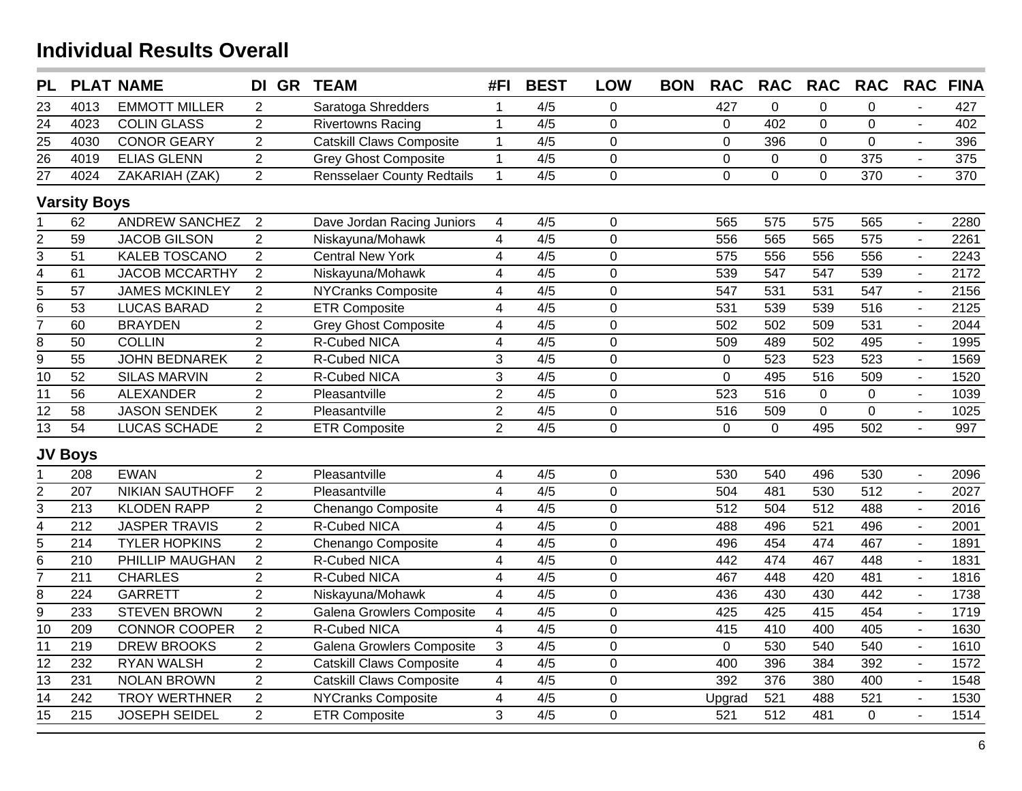| <b>PL</b>       |                     | <b>PLAT NAME</b>       | DI GR TEAM     |                                   | #FI                     | <b>BEST</b>      | <b>LOW</b>     | <b>BON</b> | <b>RAC</b>       | <b>RAC</b>       | <b>RAC</b>       | <b>RAC</b>       | <b>RAC</b>     | <b>FINA</b> |
|-----------------|---------------------|------------------------|----------------|-----------------------------------|-------------------------|------------------|----------------|------------|------------------|------------------|------------------|------------------|----------------|-------------|
| 23              | 4013                | <b>EMMOTT MILLER</b>   | 2              | Saratoga Shredders                | $\mathbf{1}$            | 4/5              | 0              |            | 427              | $\mathbf 0$      | 0                | 0                |                | 427         |
| $\overline{24}$ | 4023                | <b>COLIN GLASS</b>     | $\overline{2}$ | <b>Rivertowns Racing</b>          | $\mathbf{1}$            | $\overline{4/5}$ | $\overline{0}$ |            | $\mathbf 0$      | 402              | $\overline{0}$   | $\mathbf 0$      | $\sim$         | 402         |
| $\frac{25}{26}$ | 4030                | <b>CONOR GEARY</b>     | $\overline{2}$ | <b>Catskill Claws Composite</b>   | $\mathbf{1}$            | 4/5              | $\mathbf 0$    |            | 0                | 396              | 0                | 0                | $\overline{a}$ | 396         |
|                 | 4019                | <b>ELIAS GLENN</b>     | $\overline{2}$ | <b>Grey Ghost Composite</b>       | $\mathbf{1}$            | 4/5              | $\pmb{0}$      |            | $\pmb{0}$        | $\mathsf 0$      | $\overline{0}$   | 375              | $\blacksquare$ | 375         |
| $\overline{27}$ | 4024                | ZAKARIAH (ZAK)         | $\overline{2}$ | <b>Rensselaer County Redtails</b> | $\mathbf{1}$            | 4/5              | $\mathbf 0$    |            | 0                | $\mathbf 0$      | 0                | 370              | $\blacksquare$ | 370         |
|                 | <b>Varsity Boys</b> |                        |                |                                   |                         |                  |                |            |                  |                  |                  |                  |                |             |
|                 | 62                  | <b>ANDREW SANCHEZ</b>  | $\overline{2}$ | Dave Jordan Racing Juniors        | 4                       | 4/5              | $\mathbf 0$    |            | 565              | 575              | 575              | 565              | $\sim$         | 2280        |
| $\overline{2}$  | $\overline{59}$     | <b>JACOB GILSON</b>    | $\overline{2}$ | Niskayuna/Mohawk                  | $\overline{4}$          | 4/5              | $\mathbf 0$    |            | 556              | 565              | 565              | $\overline{575}$ | $\overline{a}$ | 2261        |
| $\overline{3}$  | $\overline{51}$     | <b>KALEB TOSCANO</b>   | $\overline{2}$ | <b>Central New York</b>           | $\overline{4}$          | 4/5              | $\overline{0}$ |            | 575              | 556              | 556              | $\overline{556}$ |                | 2243        |
| $\frac{4}{5}$   | 61                  | <b>JACOB MCCARTHY</b>  | $\overline{2}$ | Niskayuna/Mohawk                  | $\overline{\mathbf{4}}$ | 4/5              | $\mathbf 0$    |            | 539              | $\overline{547}$ | $\overline{547}$ | 539              |                | 2172        |
|                 | 57                  | <b>JAMES MCKINLEY</b>  | $\overline{2}$ | <b>NYCranks Composite</b>         | $\overline{\mathbf{4}}$ | 4/5              | $\mathbf 0$    |            | 547              | 531              | 531              | $\overline{547}$ |                | 2156        |
| $\overline{6}$  | $\overline{53}$     | <b>LUCAS BARAD</b>     | $\overline{2}$ | <b>ETR Composite</b>              | $\overline{4}$          | 4/5              | $\mathbf 0$    |            | 531              | 539              | 539              | 516              |                | 2125        |
| $\overline{7}$  | 60                  | <b>BRAYDEN</b>         | $\overline{2}$ | <b>Grey Ghost Composite</b>       | $\overline{\mathbf{4}}$ | 4/5              | $\overline{0}$ |            | 502              | 502              | 509              | $\overline{531}$ | $\overline{a}$ | 2044        |
|                 | $\overline{50}$     | <b>COLLIN</b>          | $\overline{2}$ | <b>R-Cubed NICA</b>               | $\overline{\mathbf{4}}$ | 4/5              | $\overline{0}$ |            | 509              | 489              | $\overline{502}$ | 495              | $\overline{a}$ | 1995        |
| $rac{8}{9}$     | $\overline{55}$     | <b>JOHN BEDNAREK</b>   | $\overline{2}$ | R-Cubed NICA                      | 3                       | 4/5              | $\mathbf 0$    |            | $\pmb{0}$        | 523              | 523              | 523              | $\overline{a}$ | 1569        |
| $\overline{10}$ | $\overline{52}$     | <b>SILAS MARVIN</b>    | $\overline{2}$ | R-Cubed NICA                      | 3                       | 4/5              | $\mathbf 0$    |            | 0                | 495              | $\overline{516}$ | 509              | $\sim$         | 1520        |
| 11              | 56                  | <b>ALEXANDER</b>       | $\overline{2}$ | Pleasantville                     | $\overline{2}$          | 4/5              | $\mathbf 0$    |            | 523              | 516              | $\pmb{0}$        | $\mathbf 0$      | $\sim$         | 1039        |
| 12              | 58                  | <b>JASON SENDEK</b>    | $\overline{2}$ | Pleasantville                     | $\overline{2}$          | 4/5              | $\pmb{0}$      |            | 516              | 509              | 0                | $\overline{0}$   | $\blacksquare$ | 1025        |
| 13              | 54                  | <b>LUCAS SCHADE</b>    | 2              | <b>ETR Composite</b>              | $\overline{2}$          | 4/5              | $\overline{0}$ |            | $\mathbf 0$      | $\mathbf{0}$     | 495              | 502              | $\mathbf{r}$   | 997         |
|                 | <b>JV Boys</b>      |                        |                |                                   |                         |                  |                |            |                  |                  |                  |                  |                |             |
|                 | 208                 | <b>EWAN</b>            | $\overline{2}$ | Pleasantville                     | 4                       | 4/5              | $\mathbf 0$    |            | 530              | 540              | 496              | 530              | $\sim$         | 2096        |
| 2               | 207                 | <b>NIKIAN SAUTHOFF</b> | $\overline{2}$ | Pleasantville                     | $\overline{\mathbf{4}}$ | 4/5              | $\mathbf 0$    |            | 504              | 481              | 530              | $\overline{512}$ |                | 2027        |
| $\overline{3}$  | $\overline{213}$    | <b>KLODEN RAPP</b>     | $\overline{2}$ | Chenango Composite                | $\overline{\mathbf{4}}$ | 4/5              | $\mathbf 0$    |            | $\overline{512}$ | 504              | $\overline{512}$ | 488              |                | 2016        |
| $\overline{4}$  | $\overline{212}$    | <b>JASPER TRAVIS</b>   | $\overline{2}$ | R-Cubed NICA                      | $\overline{4}$          | 4/5              | $\mathbf 0$    |            | 488              | 496              | $\overline{521}$ | 496              |                | 2001        |
| $\overline{5}$  | 214                 | <b>TYLER HOPKINS</b>   | $\overline{2}$ | Chenango Composite                | $\overline{\mathbf{4}}$ | 4/5              | $\mathbf 0$    |            | 496              | 454              | 474              | 467              |                | 1891        |
| $\overline{6}$  | $\overline{210}$    | <b>PHILLIP MAUGHAN</b> | $\overline{2}$ | R-Cubed NICA                      | $\overline{4}$          | 4/5              | $\overline{0}$ |            | 442              | 474              | 467              | 448              | $\overline{a}$ | 1831        |
| $\overline{7}$  | $\overline{211}$    | <b>CHARLES</b>         | $\overline{2}$ | <b>R-Cubed NICA</b>               | $\overline{\mathbf{4}}$ | 4/5              | $\mathbf 0$    |            | 467              | 448              | 420              | 481              | $\overline{a}$ | 1816        |
| $\overline{8}$  | 224                 | <b>GARRETT</b>         | $\overline{2}$ | Niskayuna/Mohawk                  | $\overline{\mathbf{4}}$ | 4/5              | $\mathbf 0$    |            | 436              | 430              | 430              | 442              | $\sim$         | 1738        |
| $\overline{9}$  | 233                 | <b>STEVEN BROWN</b>    | $\overline{2}$ | Galena Growlers Composite         | $\overline{4}$          | 4/5              | $\mathbf 0$    |            | 425              | 425              | 415              | 454              | $\sim$         | 1719        |
| $\overline{10}$ | 209                 | CONNOR COOPER          | $\overline{2}$ | R-Cubed NICA                      | $\overline{4}$          | 4/5              | $\mathbf 0$    |            | 415              | 410              | 400              | 405              | $\blacksquare$ | 1630        |
| 11              | 219                 | <b>DREW BROOKS</b>     | $\overline{2}$ | Galena Growlers Composite         | $\mathbf{3}$            | 4/5              | $\mathbf 0$    |            | $\mathbf 0$      | 530              | 540              | 540              | $\sim$         | 1610        |
| $\overline{12}$ | $\overline{232}$    | RYAN WALSH             | $\overline{2}$ | <b>Catskill Claws Composite</b>   | $\overline{4}$          | 4/5              | $\mathbf 0$    |            | 400              | 396              | 384              | 392              | $\sim$         | 1572        |
| 13              | 231                 | <b>NOLAN BROWN</b>     | $\overline{2}$ | <b>Catskill Claws Composite</b>   | $\overline{4}$          | 4/5              | $\mathbf 0$    |            | 392              | 376              | 380              | 400              |                | 1548        |
| $\overline{14}$ | 242                 | <b>TROY WERTHNER</b>   | $\overline{2}$ | <b>NYCranks Composite</b>         | $\overline{\mathbf{4}}$ | 4/5              | $\mathbf 0$    |            | Upgrad           | 521              | 488              | 521              | $\sim$         | 1530        |
| $\overline{15}$ | 215                 | <b>JOSEPH SEIDEL</b>   | $\overline{2}$ | <b>ETR Composite</b>              | 3                       | 4/5              | $\overline{0}$ |            | 521              | 512              | 481              | $\mathbf{0}$     | $\overline{a}$ | 1514        |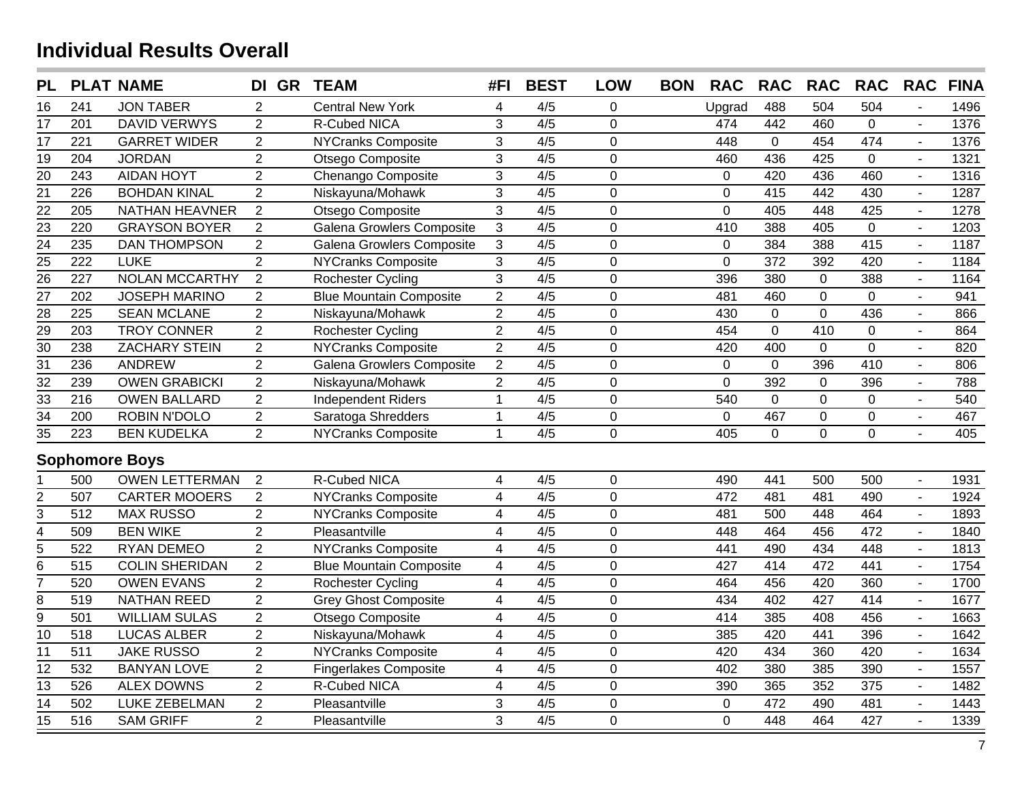| <b>PL</b>               |                  | <b>PLAT NAME</b>      | DI GR TEAM     |                                | #FI                      | <b>BEST</b>      | <b>LOW</b>     | <b>BON</b> | <b>RAC</b>  | <b>RAC</b>       | <b>RAC</b>     | <b>RAC</b>       | <b>RAC</b>               | <b>FINA</b> |
|-------------------------|------------------|-----------------------|----------------|--------------------------------|--------------------------|------------------|----------------|------------|-------------|------------------|----------------|------------------|--------------------------|-------------|
| 16                      | 241              | <b>JON TABER</b>      | $\overline{2}$ | <b>Central New York</b>        | 4                        | 4/5              | 0              |            | Upgrad      | 488              | 504            | 504              |                          | 1496        |
| 17                      | 201              | <b>DAVID VERWYS</b>   | $\overline{2}$ | R-Cubed NICA                   | 3                        | $\overline{4/5}$ | $\mathbf 0$    |            | 474         | 442              | 460            | $\overline{0}$   |                          | 1376        |
| 17                      | 221              | <b>GARRET WIDER</b>   | $\overline{2}$ | <b>NYCranks Composite</b>      | 3                        | 4/5              | $\mathbf 0$    |            | 448         | $\mathbf 0$      | 454            | 474              | $\sim$                   | 1376        |
| 19                      | 204              | <b>JORDAN</b>         | $\overline{2}$ | Otsego Composite               | 3                        | 4/5              | $\mathbf 0$    |            | 460         | 436              | 425            | $\mathbf 0$      | $\sim$                   | 1321        |
| 20                      | 243              | <b>AIDAN HOYT</b>     | $\overline{2}$ | Chenango Composite             | $\overline{3}$           | 4/5              | $\mathbf 0$    |            | $\mathbf 0$ | 420              | 436            | 460              | $\sim$                   | 1316        |
| $\overline{21}$         | $\overline{226}$ | <b>BOHDAN KINAL</b>   | $\overline{2}$ | Niskayuna/Mohawk               | $\overline{3}$           | 4/5              | $\overline{0}$ |            | $\mathbf 0$ | 415              | 442            | 430              | $\sim$                   | 1287        |
| $\overline{22}$         | 205              | <b>NATHAN HEAVNER</b> | $\overline{2}$ | Otsego Composite               | 3                        | 4/5              | $\overline{0}$ |            | $\mathbf 0$ | 405              | 448            | 425              | $\sim$                   | 1278        |
| $\overline{23}$         | 220              | <b>GRAYSON BOYER</b>  | $\overline{2}$ | Galena Growlers Composite      | 3                        | 4/5              | $\overline{0}$ |            | 410         | 388              | 405            | $\mathbf 0$      | $\blacksquare$           | 1203        |
| $\overline{24}$         | 235              | <b>DAN THOMPSON</b>   | $\overline{2}$ | Galena Growlers Composite      | 3                        | 4/5              | $\mathbf 0$    |            | $\mathbf 0$ | 384              | 388            | 415              | $\sim$                   | 1187        |
| $\overline{25}$         | 222              | <b>LUKE</b>           | $\overline{2}$ | <b>NYCranks Composite</b>      | 3                        | 4/5              | $\mathbf 0$    |            | 0           | $\overline{372}$ | 392            | 420              | $\sim$                   | 1184        |
| $\overline{26}$         | 227              | <b>NOLAN MCCARTHY</b> | $\overline{2}$ | Rochester Cycling              | $\overline{3}$           | 4/5              | $\overline{0}$ |            | 396         | 380              | $\overline{0}$ | 388              | $\blacksquare$           | 1164        |
| $\overline{27}$         | 202              | <b>JOSEPH MARINO</b>  | $\overline{2}$ | <b>Blue Mountain Composite</b> | $\overline{2}$           | 4/5              | $\mathbf 0$    |            | 481         | 460              | $\mathbf 0$    | $\overline{0}$   | $\blacksquare$           | 941         |
| $\overline{28}$         | 225              | <b>SEAN MCLANE</b>    | $\overline{2}$ | Niskayuna/Mohawk               | $\overline{a}$           | 4/5              | $\mathbf 0$    |            | 430         | $\mathbf 0$      | $\mathbf 0$    | 436              | $\blacksquare$           | 866         |
| $\frac{29}{ }$          | 203              | <b>TROY CONNER</b>    | $\overline{2}$ | <b>Rochester Cycling</b>       | $\overline{2}$           | 4/5              | $\overline{0}$ |            | 454         | $\pmb{0}$        | 410            | $\mathbf 0$      | $\blacksquare$           | 864         |
| $\overline{30}$         | 238              | <b>ZACHARY STEIN</b>  | $\overline{2}$ | <b>NYCranks Composite</b>      | $\overline{2}$           | 4/5              | $\mathbf 0$    |            | 420         | 400              | $\mathbf 0$    | $\mathbf 0$      | $\overline{\phantom{a}}$ | 820         |
| $\overline{31}$         | 236              | <b>ANDREW</b>         | $\overline{2}$ | Galena Growlers Composite      | $\overline{2}$           | 4/5              | $\mathbf 0$    |            | $\mathbf 0$ | $\mathbf 0$      | 396            | 410              | $\blacksquare$           | 806         |
| $\overline{32}$         | 239              | <b>OWEN GRABICKI</b>  | $\overline{2}$ | Niskayuna/Mohawk               | $\overline{2}$           | 4/5              | $\mathbf 0$    |            | $\mathbf 0$ | 392              | $\mathbf 0$    | 396              | $\blacksquare$           | 788         |
| $\overline{33}$         | $\overline{216}$ | <b>OWEN BALLARD</b>   | $\overline{2}$ | <b>Independent Riders</b>      | $\mathbf{1}$             | 4/5              | $\mathbf 0$    |            | 540         | $\mathbf 0$      | $\mathbf 0$    | $\mathbf 0$      | $\sim$                   | 540         |
| $\overline{34}$         | 200              | ROBIN N'DOLO          | $\overline{2}$ | Saratoga Shredders             | $\mathbf{1}$             | 4/5              | $\mathbf 0$    |            | $\mathbf 0$ | 467              | $\mathbf 0$    | $\boldsymbol{0}$ | $\blacksquare$           | 467         |
| $\overline{35}$         | 223              | <b>BEN KUDELKA</b>    | $\overline{2}$ | <b>NYCranks Composite</b>      | $\mathbf{1}$             | 4/5              | $\overline{0}$ |            | 405         | $\overline{0}$   | $\overline{0}$ | $\overline{0}$   |                          | 405         |
|                         |                  | <b>Sophomore Boys</b> |                |                                |                          |                  |                |            |             |                  |                |                  |                          |             |
|                         | 500              | <b>OWEN LETTERMAN</b> | 2              | R-Cubed NICA                   | 4                        | 4/5              | $\mathbf 0$    |            | 490         | 441              | 500            | 500              | $\overline{\phantom{a}}$ | 1931        |
| $\overline{2}$          | 507              | <b>CARTER MOOERS</b>  | $\overline{2}$ | <b>NYCranks Composite</b>      | $\overline{\mathbf{4}}$  | 4/5              | $\mathbf 0$    |            | 472         | 481              | 481            | 490              | $\blacksquare$           | 1924        |
| 3                       | $\overline{512}$ | <b>MAX RUSSO</b>      | $\overline{2}$ | <b>NYCranks Composite</b>      | $\overline{\mathcal{A}}$ | 4/5              | $\mathbf 0$    |            | 481         | 500              | 448            | 464              |                          | 1893        |
| $\overline{\mathbf{4}}$ | 509              | <b>BEN WIKE</b>       | $\overline{2}$ | Pleasantville                  | $\overline{4}$           | 4/5              | $\overline{0}$ |            | 448         | 464              | 456            | 472              |                          | 1840        |
| $\overline{5}$          | 522              | <b>RYAN DEMEO</b>     | $\overline{c}$ | <b>NYCranks Composite</b>      | $\overline{4}$           | 4/5              | $\overline{0}$ |            | 441         | 490              | 434            | 448              | $\sim$                   | 1813        |
| $\overline{6}$          | 515              | <b>COLIN SHERIDAN</b> | $\overline{2}$ | <b>Blue Mountain Composite</b> | $\overline{\mathbf{4}}$  | 4/5              | $\pmb{0}$      |            | 427         | 414              | 472            | 441              | $\sim$                   | 1754        |
| 7                       | 520              | <b>OWEN EVANS</b>     | $\overline{2}$ | <b>Rochester Cycling</b>       | $\overline{\mathbf{4}}$  | 4/5              | $\mathbf 0$    |            | 464         | 456              | 420            | 360              | $\sim$                   | 1700        |
| 8                       | 519              | <b>NATHAN REED</b>    | $\overline{2}$ | <b>Grey Ghost Composite</b>    | $\overline{\mathbf{4}}$  | 4/5              | $\mathbf 0$    |            | 434         | 402              | 427            | 414              |                          | 1677        |
| $\overline{9}$          | 501              | <b>WILLIAM SULAS</b>  | $\overline{2}$ | Otsego Composite               | 4                        | $\overline{4/5}$ | $\mathbf 0$    |            | 414         | $\frac{1}{385}$  | 408            | 456              |                          | 1663        |
| $\overline{10}$         | $\overline{518}$ | <b>LUCAS ALBER</b>    | $\overline{2}$ | Niskayuna/Mohawk               | $\overline{4}$           | $\overline{4/5}$ | $\overline{0}$ |            | 385         | 420              | 441            | 396              |                          | 1642        |
| $\overline{11}$         | 511              | <b>JAKE RUSSO</b>     | $\overline{2}$ | <b>NYCranks Composite</b>      | 4                        | 4/5              | $\pmb{0}$      |            | 420         | 434              | 360            | 420              |                          | 1634        |
| 12                      | 532              | <b>BANYAN LOVE</b>    | $\overline{2}$ | <b>Fingerlakes Composite</b>   | $\overline{\mathcal{A}}$ | 4/5              | $\mathbf 0$    |            | 402         | 380              | 385            | 390              | $\sim$                   | 1557        |
| 13                      | 526              | <b>ALEX DOWNS</b>     | $\overline{2}$ | <b>R-Cubed NICA</b>            | $\overline{\mathbf{4}}$  | 4/5              | $\mathbf 0$    |            | 390         | 365              | 352            | 375              | $\sim$                   | 1482        |
| 14                      | 502              | <b>LUKE ZEBELMAN</b>  | $\overline{2}$ | Pleasantville                  | $\mathfrak{S}$           | 4/5              | $\mathbf 0$    |            | $\mathsf 0$ | 472              | 490            | 481              | $\blacksquare$           | 1443        |
| $\overline{15}$         | $\overline{516}$ | <b>SAM GRIFF</b>      | $\overline{2}$ | Pleasantville                  | $\overline{3}$           | $\overline{4/5}$ | 0              |            | 0           | 448              | 464            | 427              | $\overline{a}$           | 1339        |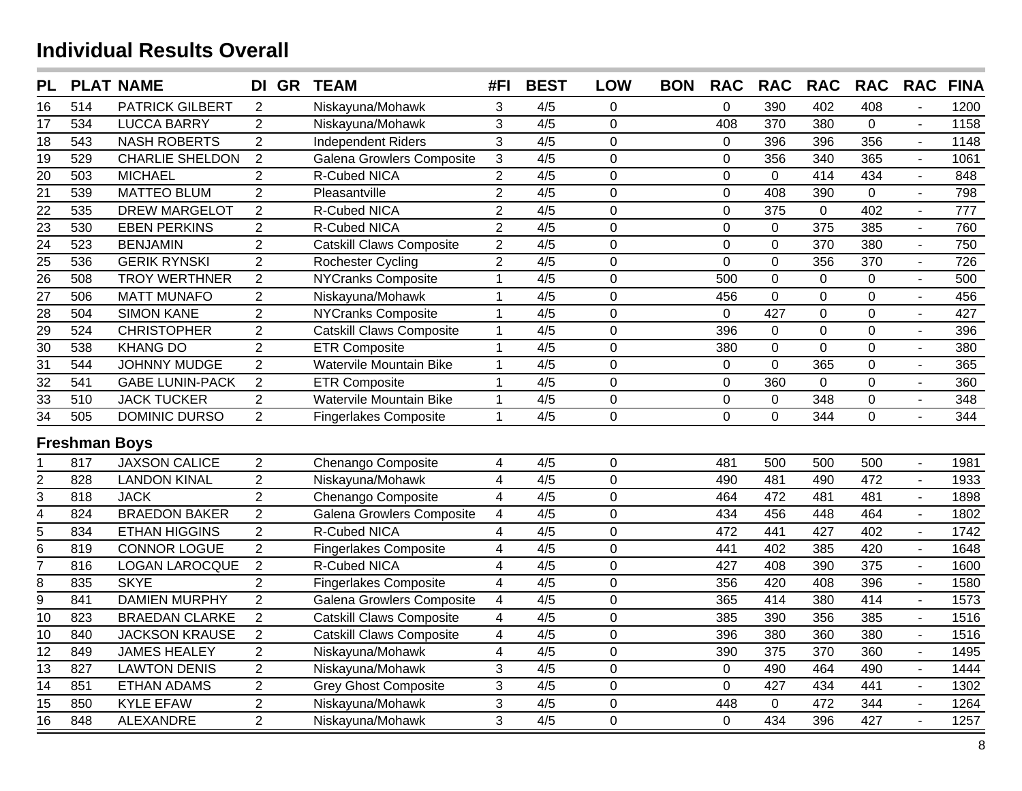| <b>PL</b>       |                      | <b>PLAT NAME</b>       | DI GR          | <b>TEAM</b>                     | #FI                     | <b>BEST</b>      | <b>LOW</b>     | <b>BON</b> | <b>RAC</b>  | <b>RAC</b>     | <b>RAC</b>       | <b>RAC</b>       | <b>RAC</b>     | <b>FINA</b> |
|-----------------|----------------------|------------------------|----------------|---------------------------------|-------------------------|------------------|----------------|------------|-------------|----------------|------------------|------------------|----------------|-------------|
| 16              | 514                  | <b>PATRICK GILBERT</b> | 2              | Niskayuna/Mohawk                | 3                       | 4/5              | 0              |            | 0           | 390            | 402              | 408              |                | 1200        |
| 17              | $\overline{534}$     | <b>LUCCA BARRY</b>     | $\overline{2}$ | Niskayuna/Mohawk                | 3                       | $\overline{4/5}$ | $\overline{0}$ |            | 408         | 370            | 380              | $\overline{0}$   | $\sim$         | 1158        |
| 18              | 543                  | <b>NASH ROBERTS</b>    | $\overline{2}$ | <b>Independent Riders</b>       | $\overline{3}$          | $\overline{4/5}$ | $\overline{0}$ |            | $\mathbf 0$ | 396            | 396              | 356              | $\sim$         | 1148        |
| $\overline{19}$ | 529                  | <b>CHARLIE SHELDON</b> | 2              | Galena Growlers Composite       | $\mathbf{3}$            | 4/5              | $\overline{0}$ |            | $\mathbf 0$ | 356            | 340              | 365              | $\sim$         | 1061        |
| 20              | 503                  | <b>MICHAEL</b>         | $\overline{2}$ | R-Cubed NICA                    | $\overline{2}$          | 4/5              | $\overline{0}$ |            | $\mathsf 0$ | $\pmb{0}$      | 414              | 434              | $\sim$         | 848         |
| $\overline{21}$ | 539                  | <b>MATTEO BLUM</b>     | $\overline{2}$ | Pleasantville                   | $\overline{2}$          | 4/5              | $\mathbf 0$    |            | 0           | 408            | 390              | $\mathbf 0$      | $\sim$         | 798         |
| $\overline{22}$ | 535                  | <b>DREW MARGELOT</b>   | $\overline{2}$ | R-Cubed NICA                    | $\overline{2}$          | 4/5              | $\overline{0}$ |            | $\mathbf 0$ | 375            | $\overline{0}$   | 402              | $\sim$         | 777         |
| $\overline{23}$ | 530                  | <b>EBEN PERKINS</b>    | $\overline{2}$ | R-Cubed NICA                    | $\overline{2}$          | 4/5              | $\overline{0}$ |            | 0           | $\mathbf 0$    | $\frac{1}{375}$  | 385              | $\overline{a}$ | 760         |
| $\overline{24}$ | $\overline{523}$     | <b>BENJAMIN</b>        | $\overline{2}$ | <b>Catskill Claws Composite</b> | $\overline{2}$          | 4/5              | $\overline{0}$ |            | 0           | $\overline{0}$ | 370              | 380              | $\sim$         | 750         |
| $\overline{25}$ | 536                  | <b>GERIK RYNSKI</b>    | $\overline{2}$ | Rochester Cycling               | $\overline{2}$          | 4/5              | $\mathbf 0$    |            | $\mathbf 0$ | $\mathbf 0$    | 356              | 370              | $\sim$         | 726         |
| $\overline{26}$ | 508                  | <b>TROY WERTHNER</b>   | $\overline{2}$ | <b>NYCranks Composite</b>       | $\mathbf{1}$            | 4/5              | $\mathbf 0$    |            | 500         | $\pmb{0}$      | $\boldsymbol{0}$ | $\overline{0}$   | $\blacksquare$ | 500         |
| $\overline{27}$ | 506                  | <b>MATT MUNAFO</b>     | $\overline{2}$ | Niskayuna/Mohawk                | $\mathbf 1$             | 4/5              | $\mathbf 0$    |            | 456         | $\pmb{0}$      | $\overline{0}$   | $\pmb{0}$        | $\blacksquare$ | 456         |
| 28              | 504                  | <b>SIMON KANE</b>      | $\overline{2}$ | <b>NYCranks Composite</b>       | $\mathbf{1}$            | 4/5              | $\mathbf 0$    |            | $\mathbf 0$ | 427            | $\mathbf 0$      | $\pmb{0}$        | $\blacksquare$ | 427         |
| $\overline{29}$ | 524                  | <b>CHRISTOPHER</b>     | $\overline{2}$ | <b>Catskill Claws Composite</b> | $\mathbf{1}$            | 4/5              | $\mathbf 0$    |            | 396         | $\mathbf 0$    | $\mathbf 0$      | $\mathbf 0$      | $\blacksquare$ | 396         |
| $\overline{30}$ | 538                  | <b>KHANG DO</b>        | $\overline{2}$ | <b>ETR Composite</b>            | $\mathbf{1}$            | 4/5              | $\mathbf 0$    |            | 380         | $\overline{0}$ | $\overline{0}$   | $\mathbf 0$      | $\blacksquare$ | 380         |
| $\overline{31}$ | 544                  | <b>JOHNNY MUDGE</b>    | $\overline{2}$ | <b>Watervile Mountain Bike</b>  | $\mathbf{1}$            | 4/5              | $\mathbf 0$    |            | $\mathbf 0$ | $\overline{0}$ | 365              | $\mathbf 0$      | $\sim$         | 365         |
| $\overline{32}$ | 541                  | <b>GABE LUNIN-PACK</b> | $\overline{2}$ | <b>ETR Composite</b>            | $\mathbf{1}$            | 4/5              | $\mathbf 0$    |            | $\mathbf 0$ | 360            | $\overline{0}$   | $\mathbf 0$      | $\sim$         | 360         |
| $\overline{33}$ | 510                  | <b>JACK TUCKER</b>     | $\overline{2}$ | Watervile Mountain Bike         | $\mathbf{1}$            | 4/5              | $\pmb{0}$      |            | $\pmb{0}$   | $\pmb{0}$      | 348              | $\boldsymbol{0}$ | $\sim$         | 348         |
| $\overline{34}$ | 505                  | DOMINIC DURSO          | $\overline{2}$ | <b>Fingerlakes Composite</b>    | $\mathbf{1}$            | 4/5              | $\Omega$       |            | $\mathbf 0$ | $\overline{0}$ | 344              | $\overline{0}$   |                | 344         |
|                 | <b>Freshman Boys</b> |                        |                |                                 |                         |                  |                |            |             |                |                  |                  |                |             |
|                 | 817                  | <b>JAXSON CALICE</b>   | $\overline{2}$ | Chenango Composite              | 4                       | 4/5              | $\mathbf 0$    |            | 481         | 500            | 500              | 500              | $\sim$         | 1981        |
| $\overline{2}$  | 828                  | <b>LANDON KINAL</b>    | $\overline{2}$ | Niskayuna/Mohawk                | $\overline{\mathbf{4}}$ | 4/5              | $\mathbf 0$    |            | 490         | 481            | 490              | 472              |                | 1933        |
| 3               | 818                  | <b>JACK</b>            | $\overline{2}$ | Chenango Composite              | $\overline{4}$          | 4/5              | $\mathbf 0$    |            | 464         | 472            | 481              | 481              |                | 1898        |
| $\overline{4}$  | 824                  | <b>BRAEDON BAKER</b>   | $\overline{2}$ | Galena Growlers Composite       | $\overline{\mathbf{4}}$ | 4/5              | $\overline{0}$ |            | 434         | 456            | 448              | 464              | $\overline{a}$ | 1802        |
| 5               | 834                  | <b>ETHAN HIGGINS</b>   | $\overline{2}$ | R-Cubed NICA                    | $\overline{4}$          | 4/5              | $\mathbf 0$    |            | 472         | 441            | 427              | 402              | $\overline{a}$ | 1742        |
| 6               | 819                  | <b>CONNOR LOGUE</b>    | $\overline{2}$ | <b>Fingerlakes Composite</b>    | $\overline{\mathbf{4}}$ | 4/5              | $\overline{0}$ |            | 441         | 402            | 385              | 420              | $\sim$         | 1648        |
| $\overline{7}$  | 816                  | <b>LOGAN LAROCQUE</b>  | $\overline{2}$ | R-Cubed NICA                    | $\overline{\mathbf{4}}$ | 4/5              | $\mathbf 0$    |            | 427         | 408            | 390              | 375              |                | 1600        |
| 8               | 835                  | <b>SKYE</b>            | $\overline{2}$ | <b>Fingerlakes Composite</b>    | $\overline{\mathbf{4}}$ | 4/5              | $\mathbf 0$    |            | 356         | 420            | 408              | 396              |                | 1580        |
| $\overline{9}$  | 841                  | <b>DAMIEN MURPHY</b>   | $\overline{2}$ | Galena Growlers Composite       | $\overline{\mathbf{4}}$ | $\overline{4/5}$ | $\overline{0}$ |            | 365         | 414            | 380              | 414              |                | 1573        |
| $\overline{10}$ | 823                  | <b>BRAEDAN CLARKE</b>  | $\overline{2}$ | <b>Catskill Claws Composite</b> | 4                       | 4/5              | $\overline{0}$ |            | 385         | 390            | 356              | 385              | $\overline{a}$ | 1516        |
| 10              | 840                  | <b>JACKSON KRAUSE</b>  | 2              | <b>Catskill Claws Composite</b> | 4                       | 4/5              | $\mathbf 0$    |            | 396         | 380            | 360              | 380              |                | 1516        |
| 12              | 849                  | <b>JAMES HEALEY</b>    | $\overline{2}$ | Niskayuna/Mohawk                | $\overline{\mathbf{4}}$ | 4/5              | $\mathbf 0$    |            | 390         | 375            | 370              | 360              |                | 1495        |
| 13              | 827                  | <b>LAWTON DENIS</b>    | $\overline{2}$ | Niskayuna/Mohawk                | 3                       | 4/5              | $\mathbf 0$    |            | $\mathbf 0$ | 490            | 464              | 490              |                | 1444        |
| 14              | 851                  | <b>ETHAN ADAMS</b>     | $\mathbf 2$    | <b>Grey Ghost Composite</b>     | 3                       | 4/5              | $\mathbf 0$    |            | $\mathbf 0$ | 427            | 434              | 441              | $\sim$         | 1302        |
| 15              | 850                  | <b>KYLE EFAW</b>       | $\overline{2}$ | Niskayuna/Mohawk                | $\overline{3}$          | 4/5              | $\mathbf 0$    |            | 448         | $\pmb{0}$      | 472              | 344              | $\sim$         | 1264        |
| $\overline{16}$ | 848                  | ALEXANDRE              | $\overline{2}$ | Niskayuna/Mohawk                | $\overline{3}$          | $\overline{4/5}$ | $\overline{0}$ |            | $\mathbf 0$ | 434            | 396              | 427              | $\mathbf{r}$   | 1257        |